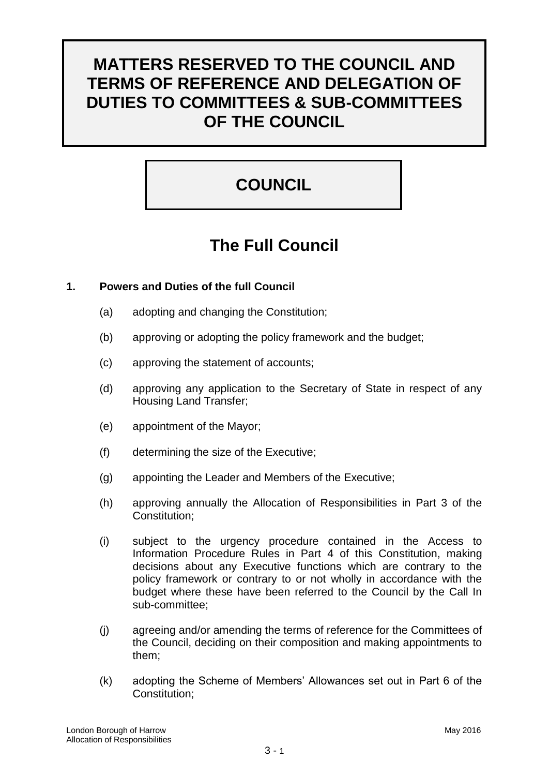# **MATTERS RESERVED TO THE COUNCIL AND TERMS OF REFERENCE AND DELEGATION OF DUTIES TO COMMITTEES & SUB-COMMITTEES OF THE COUNCIL**

# **COUNCIL**

# **The Full Council**

# **1. Powers and Duties of the full Council**

- (a) adopting and changing the Constitution;
- (b) approving or adopting the policy framework and the budget;
- (c) approving the statement of accounts;
- (d) approving any application to the Secretary of State in respect of any Housing Land Transfer;
- (e) appointment of the Mayor;
- (f) determining the size of the Executive;
- (g) appointing the Leader and Members of the Executive;
- (h) approving annually the Allocation of Responsibilities in Part 3 of the Constitution;
- (i) subject to the urgency procedure contained in the Access to Information Procedure Rules in Part 4 of this Constitution, making decisions about any Executive functions which are contrary to the policy framework or contrary to or not wholly in accordance with the budget where these have been referred to the Council by the Call In sub-committee;
- (j) agreeing and/or amending the terms of reference for the Committees of the Council, deciding on their composition and making appointments to them;
- (k) adopting the Scheme of Members" Allowances set out in Part 6 of the Constitution;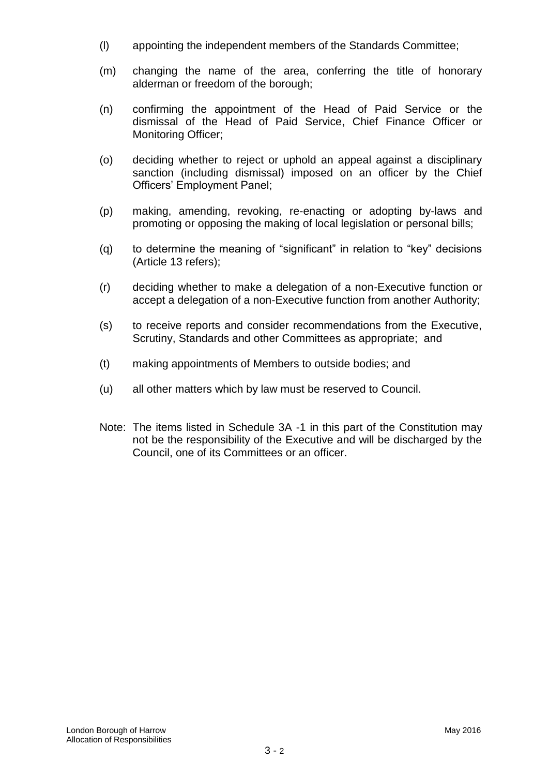- (l) appointing the independent members of the Standards Committee;
- (m) changing the name of the area, conferring the title of honorary alderman or freedom of the borough;
- (n) confirming the appointment of the Head of Paid Service or the dismissal of the Head of Paid Service, Chief Finance Officer or Monitoring Officer;
- (o) deciding whether to reject or uphold an appeal against a disciplinary sanction (including dismissal) imposed on an officer by the Chief Officers" Employment Panel;
- (p) making, amending, revoking, re-enacting or adopting by-laws and promoting or opposing the making of local legislation or personal bills;
- (q) to determine the meaning of "significant" in relation to "key" decisions (Article 13 refers);
- (r) deciding whether to make a delegation of a non-Executive function or accept a delegation of a non-Executive function from another Authority;
- (s) to receive reports and consider recommendations from the Executive, Scrutiny, Standards and other Committees as appropriate; and
- (t) making appointments of Members to outside bodies; and
- (u) all other matters which by law must be reserved to Council.
- Note: The items listed in Schedule 3A -1 in this part of the Constitution may not be the responsibility of the Executive and will be discharged by the Council, one of its Committees or an officer.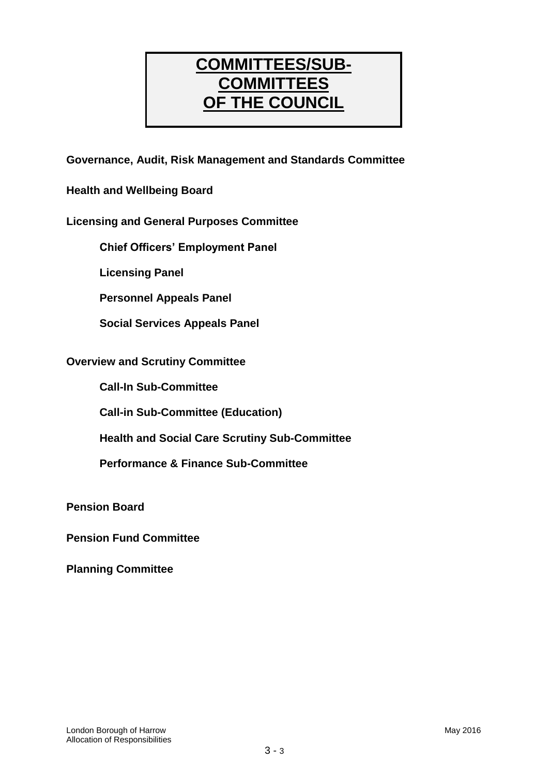# **COMMITTEES/SUB-COMMITTEES OF THE COUNCIL**

**Governance, Audit, Risk Management and Standards Committee**

**Health and Wellbeing Board**

# **Licensing and General Purposes Committee**

**Chief Officers" Employment Panel**

**Licensing Panel**

**Personnel Appeals Panel**

**Social Services Appeals Panel**

#### **Overview and Scrutiny Committee**

**Call-In Sub-Committee**

**Call-in Sub-Committee (Education)**

**Health and Social Care Scrutiny Sub-Committee**

**Performance & Finance Sub-Committee**

**Pension Board**

**Pension Fund Committee**

**Planning Committee**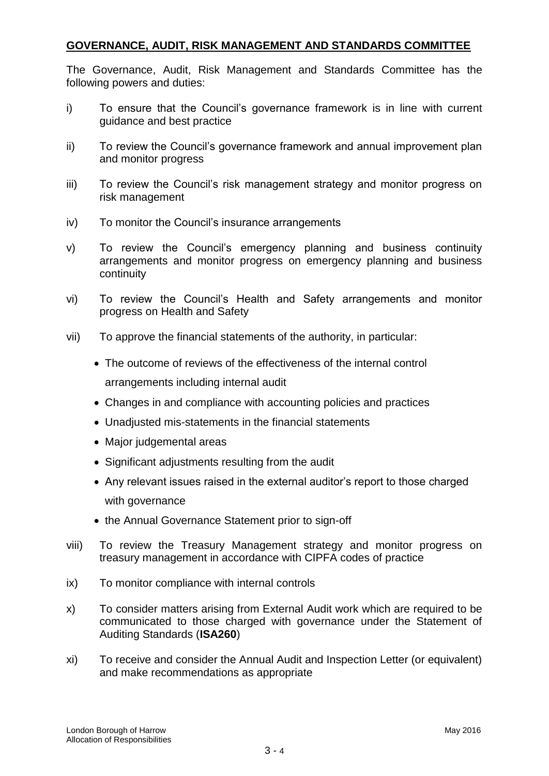# **GOVERNANCE, AUDIT, RISK MANAGEMENT AND STANDARDS COMMITTEE**

The Governance, Audit, Risk Management and Standards Committee has the following powers and duties:

- i) To ensure that the Council"s governance framework is in line with current guidance and best practice
- ii) To review the Council"s governance framework and annual improvement plan and monitor progress
- iii) To review the Council's risk management strategy and monitor progress on risk management
- iv) To monitor the Council"s insurance arrangements
- v) To review the Council"s emergency planning and business continuity arrangements and monitor progress on emergency planning and business continuity
- vi) To review the Council"s Health and Safety arrangements and monitor progress on Health and Safety
- vii) To approve the financial statements of the authority, in particular:
	- The outcome of reviews of the effectiveness of the internal control arrangements including internal audit
	- Changes in and compliance with accounting policies and practices
	- Unadjusted mis-statements in the financial statements
	- Major judgemental areas
	- Significant adjustments resulting from the audit
	- Any relevant issues raised in the external auditor's report to those charged with governance
	- the Annual Governance Statement prior to sign-off
- viii) To review the Treasury Management strategy and monitor progress on treasury management in accordance with CIPFA codes of practice
- ix) To monitor compliance with internal controls
- x) To consider matters arising from External Audit work which are required to be communicated to those charged with governance under the Statement of Auditing Standards (**ISA260**)
- xi) To receive and consider the Annual Audit and Inspection Letter (or equivalent) and make recommendations as appropriate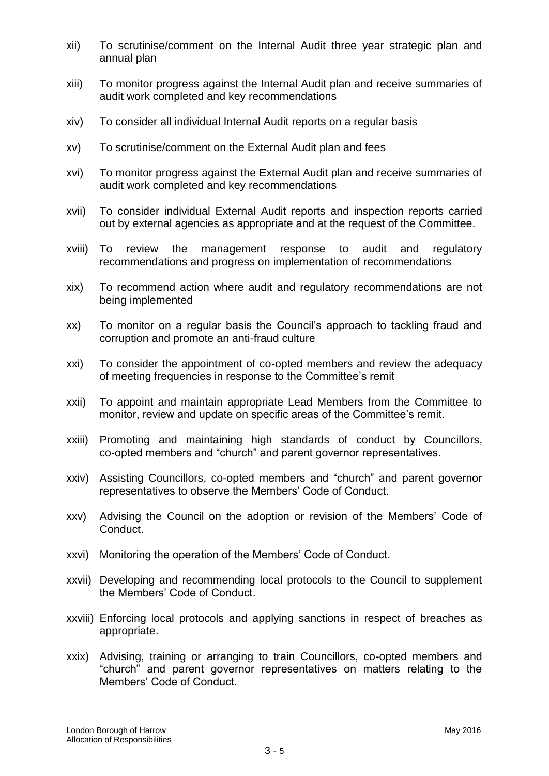- xii) To scrutinise/comment on the Internal Audit three year strategic plan and annual plan
- xiii) To monitor progress against the Internal Audit plan and receive summaries of audit work completed and key recommendations
- xiv) To consider all individual Internal Audit reports on a regular basis
- xv) To scrutinise/comment on the External Audit plan and fees
- xvi) To monitor progress against the External Audit plan and receive summaries of audit work completed and key recommendations
- xvii) To consider individual External Audit reports and inspection reports carried out by external agencies as appropriate and at the request of the Committee.
- xviii) To review the management response to audit and regulatory recommendations and progress on implementation of recommendations
- xix) To recommend action where audit and regulatory recommendations are not being implemented
- xx) To monitor on a regular basis the Council"s approach to tackling fraud and corruption and promote an anti-fraud culture
- xxi) To consider the appointment of co-opted members and review the adequacy of meeting frequencies in response to the Committee"s remit
- xxii) To appoint and maintain appropriate Lead Members from the Committee to monitor, review and update on specific areas of the Committee"s remit.
- xxiii) Promoting and maintaining high standards of conduct by Councillors, co-opted members and "church" and parent governor representatives.
- xxiv) Assisting Councillors, co-opted members and "church" and parent governor representatives to observe the Members" Code of Conduct.
- xxv) Advising the Council on the adoption or revision of the Members" Code of Conduct.
- xxvi) Monitoring the operation of the Members' Code of Conduct.
- xxvii) Developing and recommending local protocols to the Council to supplement the Members" Code of Conduct.
- xxviii) Enforcing local protocols and applying sanctions in respect of breaches as appropriate.
- xxix) Advising, training or arranging to train Councillors, co-opted members and "church" and parent governor representatives on matters relating to the Members" Code of Conduct.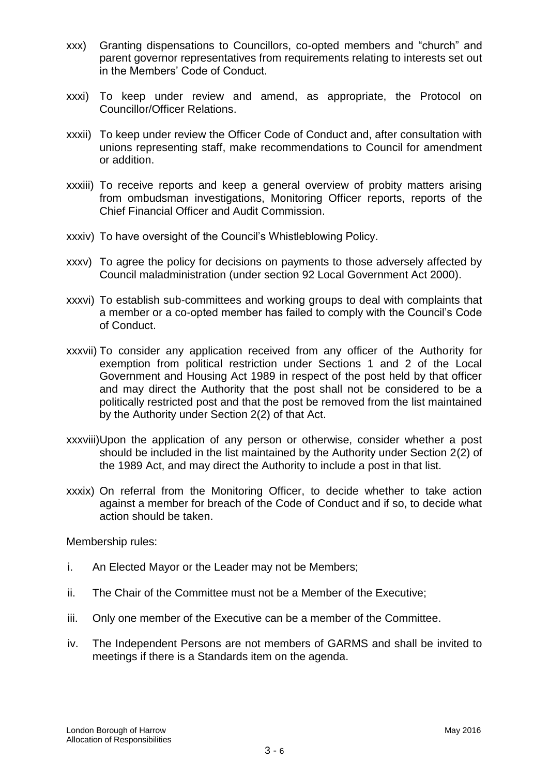- xxx) Granting dispensations to Councillors, co-opted members and "church" and parent governor representatives from requirements relating to interests set out in the Members" Code of Conduct.
- xxxi) To keep under review and amend, as appropriate, the Protocol on Councillor/Officer Relations.
- xxxii) To keep under review the Officer Code of Conduct and, after consultation with unions representing staff, make recommendations to Council for amendment or addition.
- xxxiii) To receive reports and keep a general overview of probity matters arising from ombudsman investigations, Monitoring Officer reports, reports of the Chief Financial Officer and Audit Commission.
- xxxiv) To have oversight of the Council"s Whistleblowing Policy.
- xxxv) To agree the policy for decisions on payments to those adversely affected by Council maladministration (under section 92 Local Government Act 2000).
- xxxvi) To establish sub-committees and working groups to deal with complaints that a member or a co-opted member has failed to comply with the Council"s Code of Conduct.
- xxxvii) To consider any application received from any officer of the Authority for exemption from political restriction under Sections 1 and 2 of the Local Government and Housing Act 1989 in respect of the post held by that officer and may direct the Authority that the post shall not be considered to be a politically restricted post and that the post be removed from the list maintained by the Authority under Section 2(2) of that Act.
- xxxviii)Upon the application of any person or otherwise, consider whether a post should be included in the list maintained by the Authority under Section 2(2) of the 1989 Act, and may direct the Authority to include a post in that list.
- xxxix) On referral from the Monitoring Officer, to decide whether to take action against a member for breach of the Code of Conduct and if so, to decide what action should be taken.

Membership rules:

- i. An Elected Mayor or the Leader may not be Members;
- ii. The Chair of the Committee must not be a Member of the Executive;
- iii. Only one member of the Executive can be a member of the Committee.
- iv. The Independent Persons are not members of GARMS and shall be invited to meetings if there is a Standards item on the agenda.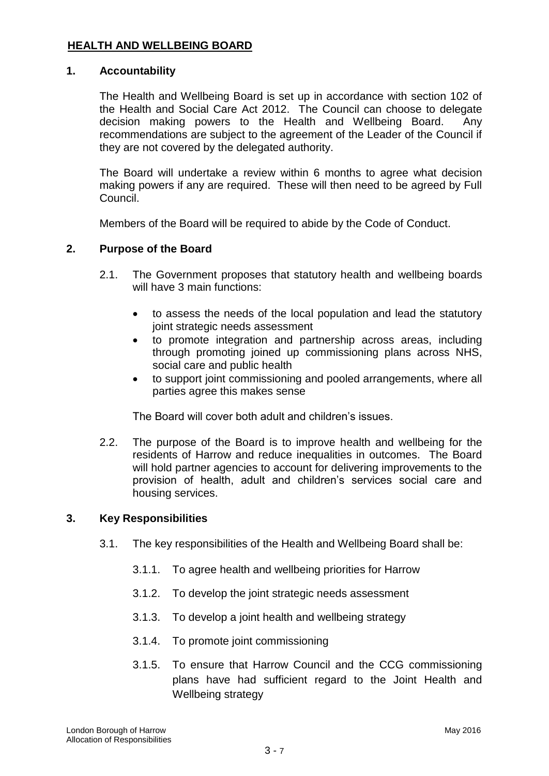# **HEALTH AND WELLBEING BOARD**

#### **1. Accountability**

The Health and Wellbeing Board is set up in accordance with section 102 of the Health and Social Care Act 2012. The Council can choose to delegate decision making powers to the Health and Wellbeing Board. Any recommendations are subject to the agreement of the Leader of the Council if they are not covered by the delegated authority.

The Board will undertake a review within 6 months to agree what decision making powers if any are required. These will then need to be agreed by Full Council.

Members of the Board will be required to abide by the Code of Conduct.

#### **2. Purpose of the Board**

- 2.1. The Government proposes that statutory health and wellbeing boards will have 3 main functions:
	- to assess the needs of the local population and lead the statutory joint strategic needs assessment
	- to promote integration and partnership across areas, including through promoting joined up commissioning plans across NHS, social care and public health
	- to support joint commissioning and pooled arrangements, where all parties agree this makes sense

The Board will cover both adult and children"s issues.

2.2. The purpose of the Board is to improve health and wellbeing for the residents of Harrow and reduce inequalities in outcomes. The Board will hold partner agencies to account for delivering improvements to the provision of health, adult and children"s services social care and housing services.

#### **3. Key Responsibilities**

- 3.1. The key responsibilities of the Health and Wellbeing Board shall be:
	- 3.1.1. To agree health and wellbeing priorities for Harrow
	- 3.1.2. To develop the joint strategic needs assessment
	- 3.1.3. To develop a joint health and wellbeing strategy
	- 3.1.4. To promote joint commissioning
	- 3.1.5. To ensure that Harrow Council and the CCG commissioning plans have had sufficient regard to the Joint Health and Wellbeing strategy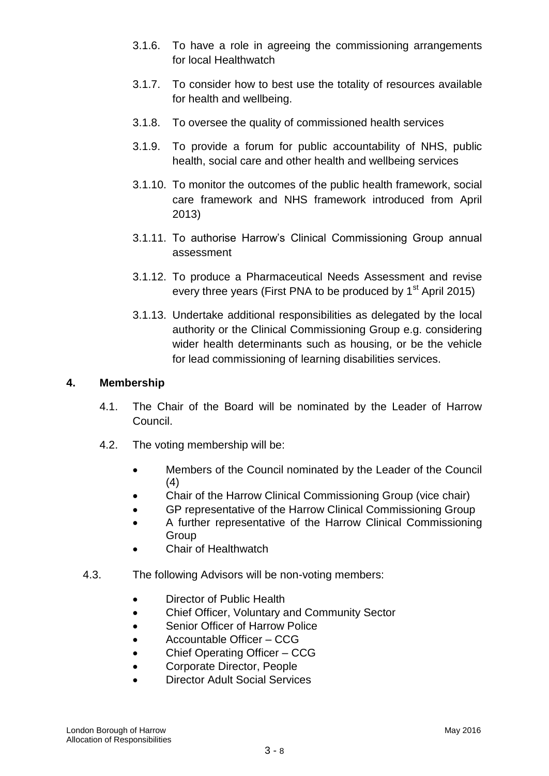- 3.1.6. To have a role in agreeing the commissioning arrangements for local Healthwatch
- 3.1.7. To consider how to best use the totality of resources available for health and wellbeing.
- 3.1.8. To oversee the quality of commissioned health services
- 3.1.9. To provide a forum for public accountability of NHS, public health, social care and other health and wellbeing services
- 3.1.10. To monitor the outcomes of the public health framework, social care framework and NHS framework introduced from April 2013)
- 3.1.11. To authorise Harrow"s Clinical Commissioning Group annual assessment
- 3.1.12. To produce a Pharmaceutical Needs Assessment and revise every three years (First PNA to be produced by 1<sup>st</sup> April 2015)
- 3.1.13. Undertake additional responsibilities as delegated by the local authority or the Clinical Commissioning Group e.g. considering wider health determinants such as housing, or be the vehicle for lead commissioning of learning disabilities services.

### **4. Membership**

- 4.1. The Chair of the Board will be nominated by the Leader of Harrow Council.
- 4.2. The voting membership will be:
	- Members of the Council nominated by the Leader of the Council (4)
	- Chair of the Harrow Clinical Commissioning Group (vice chair)
	- GP representative of the Harrow Clinical Commissioning Group
	- A further representative of the Harrow Clinical Commissioning Group
	- Chair of Healthwatch
- 4.3. The following Advisors will be non-voting members:
	- Director of Public Health
	- Chief Officer, Voluntary and Community Sector
	- Senior Officer of Harrow Police
	- Accountable Officer CCG
	- Chief Operating Officer CCG
	- Corporate Director, People
	- Director Adult Social Services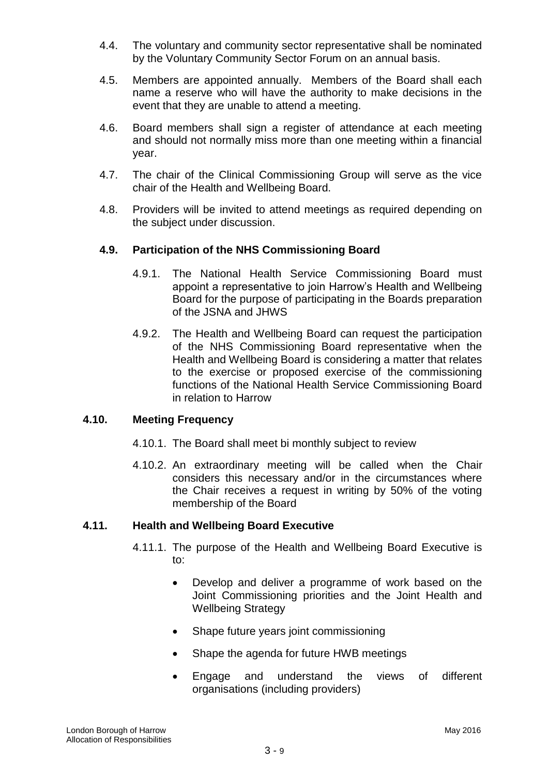- 4.4. The voluntary and community sector representative shall be nominated by the Voluntary Community Sector Forum on an annual basis.
- 4.5. Members are appointed annually. Members of the Board shall each name a reserve who will have the authority to make decisions in the event that they are unable to attend a meeting.
- 4.6. Board members shall sign a register of attendance at each meeting and should not normally miss more than one meeting within a financial year.
- 4.7. The chair of the Clinical Commissioning Group will serve as the vice chair of the Health and Wellbeing Board.
- 4.8. Providers will be invited to attend meetings as required depending on the subject under discussion.

#### **4.9. Participation of the NHS Commissioning Board**

- 4.9.1. The National Health Service Commissioning Board must appoint a representative to join Harrow"s Health and Wellbeing Board for the purpose of participating in the Boards preparation of the JSNA and JHWS
- 4.9.2. The Health and Wellbeing Board can request the participation of the NHS Commissioning Board representative when the Health and Wellbeing Board is considering a matter that relates to the exercise or proposed exercise of the commissioning functions of the National Health Service Commissioning Board in relation to Harrow

#### **4.10. Meeting Frequency**

- 4.10.1. The Board shall meet bi monthly subject to review
- 4.10.2. An extraordinary meeting will be called when the Chair considers this necessary and/or in the circumstances where the Chair receives a request in writing by 50% of the voting membership of the Board

#### **4.11. Health and Wellbeing Board Executive**

- 4.11.1. The purpose of the Health and Wellbeing Board Executive is to:
	- Develop and deliver a programme of work based on the Joint Commissioning priorities and the Joint Health and Wellbeing Strategy
	- Shape future years joint commissioning
	- Shape the agenda for future HWB meetings
	- Engage and understand the views of different organisations (including providers)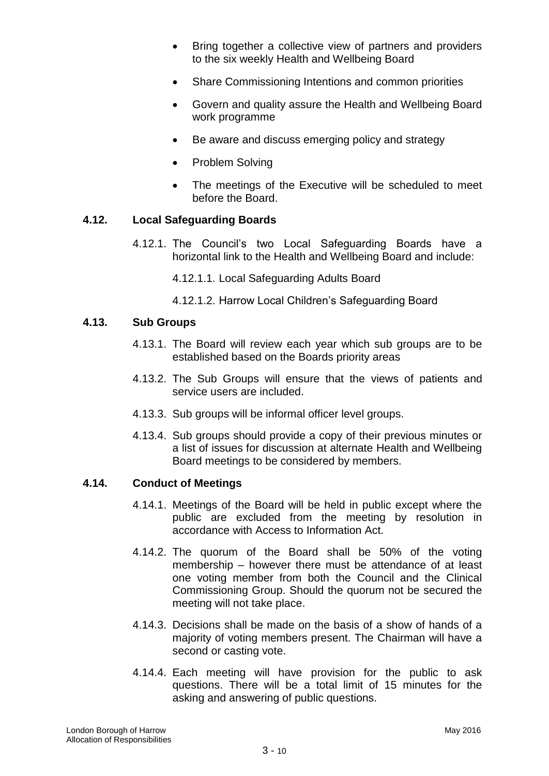- Bring together a collective view of partners and providers to the six weekly Health and Wellbeing Board
- Share Commissioning Intentions and common priorities
- Govern and quality assure the Health and Wellbeing Board work programme
- Be aware and discuss emerging policy and strategy
- Problem Solving
- The meetings of the Executive will be scheduled to meet before the Board.

#### **4.12. Local Safeguarding Boards**

- 4.12.1. The Council"s two Local Safeguarding Boards have a horizontal link to the Health and Wellbeing Board and include:
	- 4.12.1.1. Local Safeguarding Adults Board
	- 4.12.1.2. Harrow Local Children"s Safeguarding Board

#### **4.13. Sub Groups**

- 4.13.1. The Board will review each year which sub groups are to be established based on the Boards priority areas
- 4.13.2. The Sub Groups will ensure that the views of patients and service users are included.
- 4.13.3. Sub groups will be informal officer level groups.
- 4.13.4. Sub groups should provide a copy of their previous minutes or a list of issues for discussion at alternate Health and Wellbeing Board meetings to be considered by members.

#### **4.14. Conduct of Meetings**

- 4.14.1. Meetings of the Board will be held in public except where the public are excluded from the meeting by resolution in accordance with Access to Information Act.
- 4.14.2. The quorum of the Board shall be 50% of the voting membership – however there must be attendance of at least one voting member from both the Council and the Clinical Commissioning Group. Should the quorum not be secured the meeting will not take place.
- 4.14.3. Decisions shall be made on the basis of a show of hands of a majority of voting members present. The Chairman will have a second or casting vote.
- 4.14.4. Each meeting will have provision for the public to ask questions. There will be a total limit of 15 minutes for the asking and answering of public questions.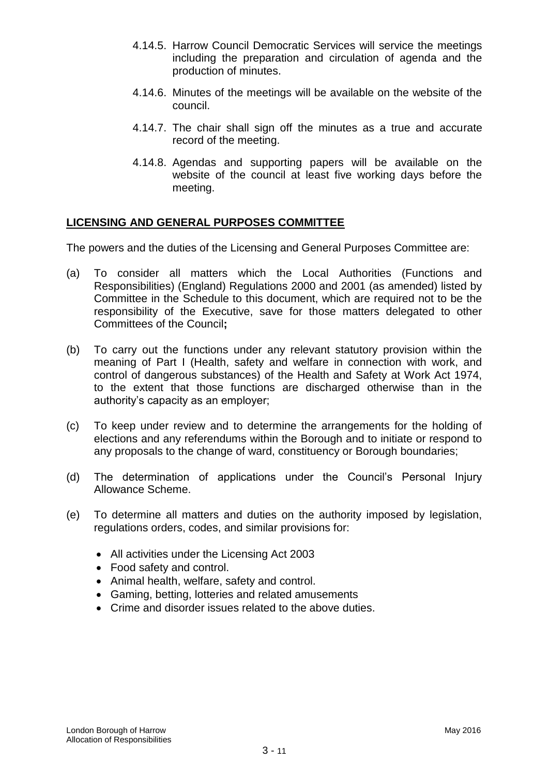- 4.14.5. Harrow Council Democratic Services will service the meetings including the preparation and circulation of agenda and the production of minutes.
- 4.14.6. Minutes of the meetings will be available on the website of the council.
- 4.14.7. The chair shall sign off the minutes as a true and accurate record of the meeting.
- 4.14.8. Agendas and supporting papers will be available on the website of the council at least five working days before the meeting.

# **LICENSING AND GENERAL PURPOSES COMMITTEE**

The powers and the duties of the Licensing and General Purposes Committee are:

- (a) To consider all matters which the Local Authorities (Functions and Responsibilities) (England) Regulations 2000 and 2001 (as amended) listed by Committee in the Schedule to this document, which are required not to be the responsibility of the Executive, save for those matters delegated to other Committees of the Council**;**
- (b) To carry out the functions under any relevant statutory provision within the meaning of Part I (Health, safety and welfare in connection with work, and control of dangerous substances) of the Health and Safety at Work Act 1974, to the extent that those functions are discharged otherwise than in the authority"s capacity as an employer;
- (c) To keep under review and to determine the arrangements for the holding of elections and any referendums within the Borough and to initiate or respond to any proposals to the change of ward, constituency or Borough boundaries;
- (d) The determination of applications under the Council"s Personal Injury Allowance Scheme.
- (e) To determine all matters and duties on the authority imposed by legislation, regulations orders, codes, and similar provisions for:
	- All activities under the Licensing Act 2003
	- Food safety and control.
	- Animal health, welfare, safety and control.
	- Gaming, betting, lotteries and related amusements
	- Crime and disorder issues related to the above duties.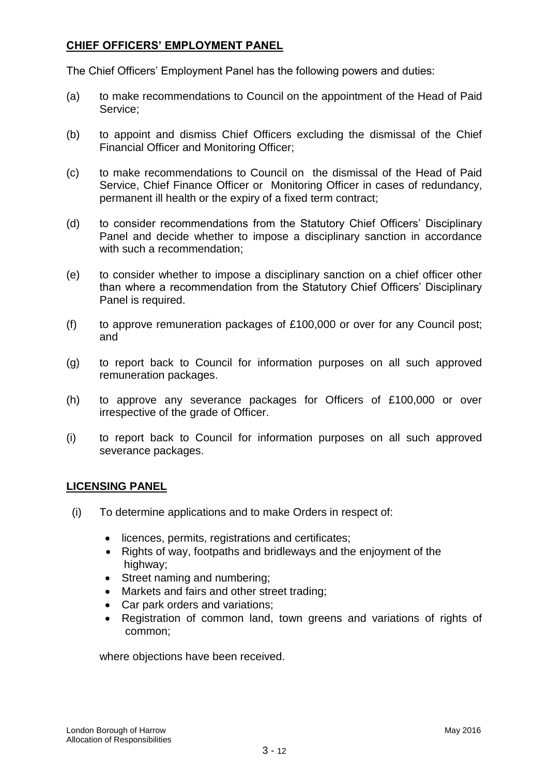# **CHIEF OFFICERS" EMPLOYMENT PANEL**

The Chief Officers" Employment Panel has the following powers and duties:

- (a) to make recommendations to Council on the appointment of the Head of Paid Service;
- (b) to appoint and dismiss Chief Officers excluding the dismissal of the Chief Financial Officer and Monitoring Officer;
- (c) to make recommendations to Council on the dismissal of the Head of Paid Service, Chief Finance Officer or Monitoring Officer in cases of redundancy, permanent ill health or the expiry of a fixed term contract;
- (d) to consider recommendations from the Statutory Chief Officers" Disciplinary Panel and decide whether to impose a disciplinary sanction in accordance with such a recommendation;
- (e) to consider whether to impose a disciplinary sanction on a chief officer other than where a recommendation from the Statutory Chief Officers" Disciplinary Panel is required.
- (f) to approve remuneration packages of £100,000 or over for any Council post; and
- (g) to report back to Council for information purposes on all such approved remuneration packages.
- (h) to approve any severance packages for Officers of £100,000 or over irrespective of the grade of Officer.
- (i) to report back to Council for information purposes on all such approved severance packages.

#### **LICENSING PANEL**

- (i) To determine applications and to make Orders in respect of:
	- licences, permits, registrations and certificates;
	- Rights of way, footpaths and bridleways and the enjoyment of the highway;
	- Street naming and numbering;
	- Markets and fairs and other street trading;
	- Car park orders and variations;
	- Registration of common land, town greens and variations of rights of common;

where objections have been received.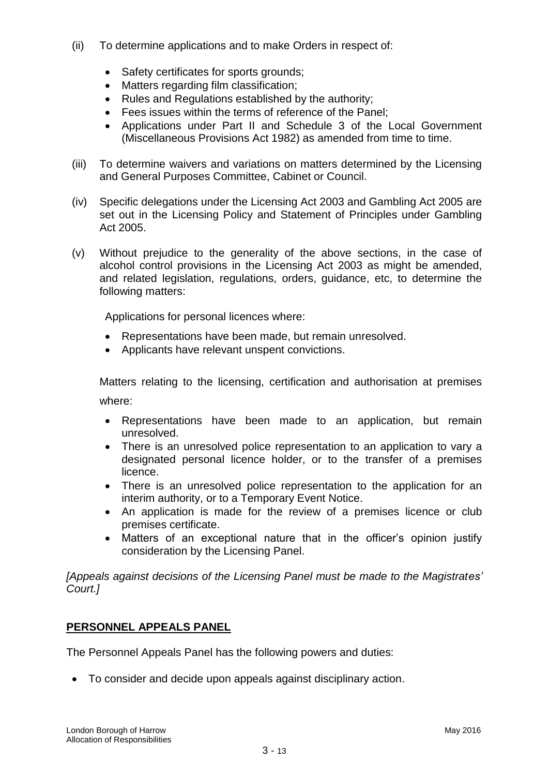- (ii) To determine applications and to make Orders in respect of:
	- Safety certificates for sports grounds;
	- Matters regarding film classification;
	- Rules and Regulations established by the authority;
	- Fees issues within the terms of reference of the Panel;
	- Applications under Part II and Schedule 3 of the Local Government (Miscellaneous Provisions Act 1982) as amended from time to time.
- (iii) To determine waivers and variations on matters determined by the Licensing and General Purposes Committee, Cabinet or Council.
- (iv) Specific delegations under the Licensing Act 2003 and Gambling Act 2005 are set out in the Licensing Policy and Statement of Principles under Gambling Act 2005.
- (v) Without prejudice to the generality of the above sections, in the case of alcohol control provisions in the Licensing Act 2003 as might be amended, and related legislation, regulations, orders, guidance, etc, to determine the following matters:

Applications for personal licences where:

- Representations have been made, but remain unresolved.
- Applicants have relevant unspent convictions.

Matters relating to the licensing, certification and authorisation at premises where:

- Representations have been made to an application, but remain unresolved.
- There is an unresolved police representation to an application to vary a designated personal licence holder, or to the transfer of a premises licence.
- There is an unresolved police representation to the application for an interim authority, or to a Temporary Event Notice.
- An application is made for the review of a premises licence or club premises certificate.
- Matters of an exceptional nature that in the officer"s opinion justify consideration by the Licensing Panel.

*[Appeals against decisions of the Licensing Panel must be made to the Magistrates' Court.]*

# **PERSONNEL APPEALS PANEL**

The Personnel Appeals Panel has the following powers and duties:

To consider and decide upon appeals against disciplinary action.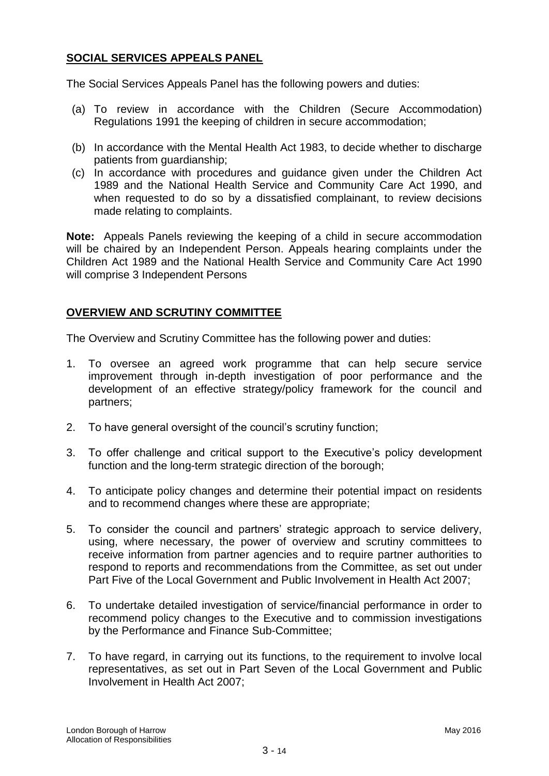# **SOCIAL SERVICES APPEALS PANEL**

The Social Services Appeals Panel has the following powers and duties:

- (a) To review in accordance with the Children (Secure Accommodation) Regulations 1991 the keeping of children in secure accommodation;
- (b) In accordance with the Mental Health Act 1983, to decide whether to discharge patients from guardianship;
- (c) In accordance with procedures and guidance given under the Children Act 1989 and the National Health Service and Community Care Act 1990, and when requested to do so by a dissatisfied complainant, to review decisions made relating to complaints.

**Note:** Appeals Panels reviewing the keeping of a child in secure accommodation will be chaired by an Independent Person. Appeals hearing complaints under the Children Act 1989 and the National Health Service and Community Care Act 1990 will comprise 3 Independent Persons

#### **OVERVIEW AND SCRUTINY COMMITTEE**

The Overview and Scrutiny Committee has the following power and duties:

- 1. To oversee an agreed work programme that can help secure service improvement through in-depth investigation of poor performance and the development of an effective strategy/policy framework for the council and partners;
- 2. To have general oversight of the council's scrutiny function;
- 3. To offer challenge and critical support to the Executive's policy development function and the long-term strategic direction of the borough;
- 4. To anticipate policy changes and determine their potential impact on residents and to recommend changes where these are appropriate;
- 5. To consider the council and partners" strategic approach to service delivery, using, where necessary, the power of overview and scrutiny committees to receive information from partner agencies and to require partner authorities to respond to reports and recommendations from the Committee, as set out under Part Five of the Local Government and Public Involvement in Health Act 2007;
- 6. To undertake detailed investigation of service/financial performance in order to recommend policy changes to the Executive and to commission investigations by the Performance and Finance Sub-Committee;
- 7. To have regard, in carrying out its functions, to the requirement to involve local representatives, as set out in Part Seven of the Local Government and Public Involvement in Health Act 2007;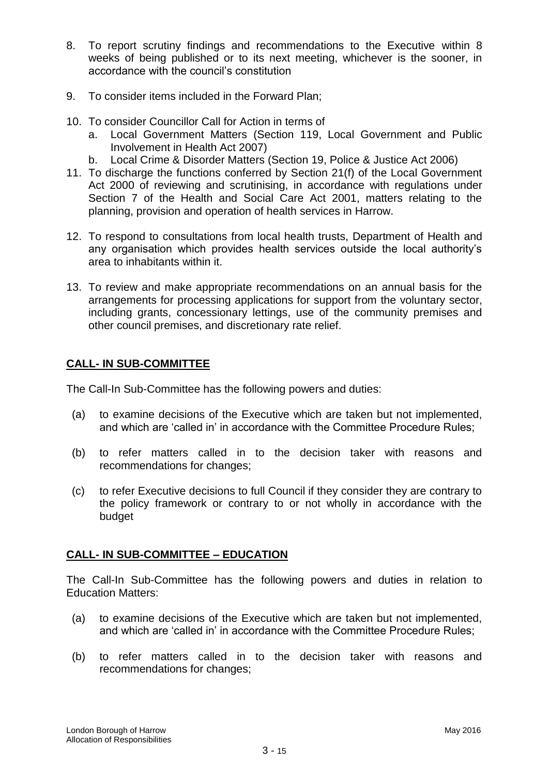- 8. To report scrutiny findings and recommendations to the Executive within 8 weeks of being published or to its next meeting, whichever is the sooner, in accordance with the council"s constitution
- 9. To consider items included in the Forward Plan;
- 10. To consider Councillor Call for Action in terms of
	- a. Local Government Matters (Section 119, Local Government and Public Involvement in Health Act 2007)
	- b. Local Crime & Disorder Matters (Section 19, Police & Justice Act 2006)
- 11. To discharge the functions conferred by Section 21(f) of the Local Government Act 2000 of reviewing and scrutinising, in accordance with regulations under Section 7 of the Health and Social Care Act 2001, matters relating to the planning, provision and operation of health services in Harrow.
- 12. To respond to consultations from local health trusts, Department of Health and any organisation which provides health services outside the local authority"s area to inhabitants within it.
- 13. To review and make appropriate recommendations on an annual basis for the arrangements for processing applications for support from the voluntary sector, including grants, concessionary lettings, use of the community premises and other council premises, and discretionary rate relief.

# **CALL- IN SUB-COMMITTEE**

The Call-In Sub-Committee has the following powers and duties:

- (a) to examine decisions of the Executive which are taken but not implemented, and which are "called in" in accordance with the Committee Procedure Rules;
- (b) to refer matters called in to the decision taker with reasons and recommendations for changes;
- (c) to refer Executive decisions to full Council if they consider they are contrary to the policy framework or contrary to or not wholly in accordance with the budget

# **CALL- IN SUB-COMMITTEE – EDUCATION**

The Call-In Sub-Committee has the following powers and duties in relation to Education Matters:

- (a) to examine decisions of the Executive which are taken but not implemented, and which are "called in" in accordance with the Committee Procedure Rules;
- (b) to refer matters called in to the decision taker with reasons and recommendations for changes;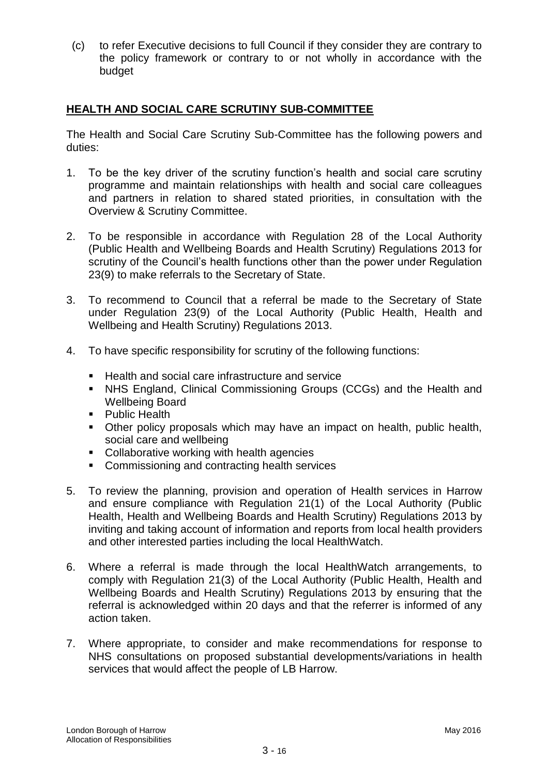(c) to refer Executive decisions to full Council if they consider they are contrary to the policy framework or contrary to or not wholly in accordance with the budget

# **HEALTH AND SOCIAL CARE SCRUTINY SUB-COMMITTEE**

The Health and Social Care Scrutiny Sub-Committee has the following powers and duties:

- 1. To be the key driver of the scrutiny function"s health and social care scrutiny programme and maintain relationships with health and social care colleagues and partners in relation to shared stated priorities, in consultation with the Overview & Scrutiny Committee.
- 2. To be responsible in accordance with Regulation 28 of the Local Authority (Public Health and Wellbeing Boards and Health Scrutiny) Regulations 2013 for scrutiny of the Council's health functions other than the power under Regulation 23(9) to make referrals to the Secretary of State.
- 3. To recommend to Council that a referral be made to the Secretary of State under Regulation 23(9) of the Local Authority (Public Health, Health and Wellbeing and Health Scrutiny) Regulations 2013.
- 4. To have specific responsibility for scrutiny of the following functions:
	- Health and social care infrastructure and service
	- NHS England, Clinical Commissioning Groups (CCGs) and the Health and Wellbeing Board
	- **Public Health**
	- Other policy proposals which may have an impact on health, public health, social care and wellbeing
	- Collaborative working with health agencies
	- **EXECOMMISSIONING AND CONTRACTING HEALTH SERVICES**
- 5. To review the planning, provision and operation of Health services in Harrow and ensure compliance with Regulation 21(1) of the Local Authority (Public Health, Health and Wellbeing Boards and Health Scrutiny) Regulations 2013 by inviting and taking account of information and reports from local health providers and other interested parties including the local HealthWatch.
- 6. Where a referral is made through the local HealthWatch arrangements, to comply with Regulation 21(3) of the Local Authority (Public Health, Health and Wellbeing Boards and Health Scrutiny) Regulations 2013 by ensuring that the referral is acknowledged within 20 days and that the referrer is informed of any action taken.
- 7. Where appropriate, to consider and make recommendations for response to NHS consultations on proposed substantial developments/variations in health services that would affect the people of LB Harrow.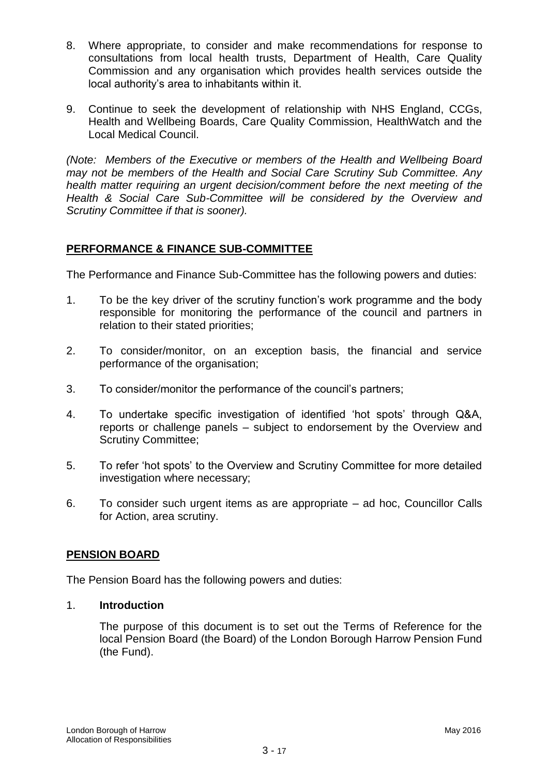- 8. Where appropriate, to consider and make recommendations for response to consultations from local health trusts, Department of Health, Care Quality Commission and any organisation which provides health services outside the local authority"s area to inhabitants within it.
- 9. Continue to seek the development of relationship with NHS England, CCGs, Health and Wellbeing Boards, Care Quality Commission, HealthWatch and the Local Medical Council.

*(Note: Members of the Executive or members of the Health and Wellbeing Board may not be members of the Health and Social Care Scrutiny Sub Committee. Any health matter requiring an urgent decision/comment before the next meeting of the Health & Social Care Sub-Committee will be considered by the Overview and Scrutiny Committee if that is sooner).*

# **PERFORMANCE & FINANCE SUB-COMMITTEE**

The Performance and Finance Sub-Committee has the following powers and duties:

- 1. To be the key driver of the scrutiny function"s work programme and the body responsible for monitoring the performance of the council and partners in relation to their stated priorities;
- 2. To consider/monitor, on an exception basis, the financial and service performance of the organisation;
- 3. To consider/monitor the performance of the council"s partners;
- 4. To undertake specific investigation of identified "hot spots" through Q&A, reports or challenge panels – subject to endorsement by the Overview and Scrutiny Committee;
- 5. To refer "hot spots" to the Overview and Scrutiny Committee for more detailed investigation where necessary;
- 6. To consider such urgent items as are appropriate ad hoc, Councillor Calls for Action, area scrutiny.

# **PENSION BOARD**

The Pension Board has the following powers and duties:

# 1. **Introduction**

The purpose of this document is to set out the Terms of Reference for the local Pension Board (the Board) of the London Borough Harrow Pension Fund (the Fund).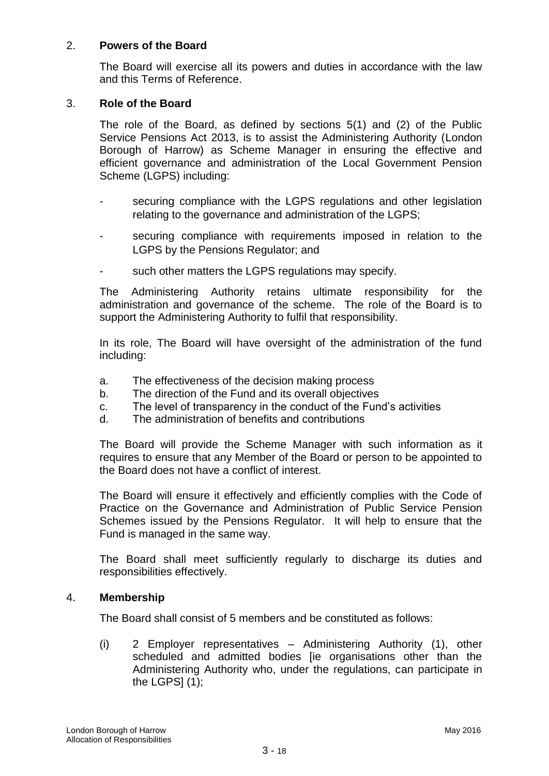#### 2. **Powers of the Board**

The Board will exercise all its powers and duties in accordance with the law and this Terms of Reference.

#### 3. **Role of the Board**

The role of the Board, as defined by sections 5(1) and (2) of the Public Service Pensions Act 2013, is to assist the Administering Authority (London Borough of Harrow) as Scheme Manager in ensuring the effective and efficient governance and administration of the Local Government Pension Scheme (LGPS) including:

- securing compliance with the LGPS regulations and other legislation relating to the governance and administration of the LGPS;
- securing compliance with requirements imposed in relation to the LGPS by the Pensions Regulator; and
- such other matters the LGPS regulations may specify.

The Administering Authority retains ultimate responsibility for the administration and governance of the scheme. The role of the Board is to support the Administering Authority to fulfil that responsibility.

In its role, The Board will have oversight of the administration of the fund including:

- a. The effectiveness of the decision making process
- b. The direction of the Fund and its overall objectives
- c. The level of transparency in the conduct of the Fund"s activities
- d. The administration of benefits and contributions

The Board will provide the Scheme Manager with such information as it requires to ensure that any Member of the Board or person to be appointed to the Board does not have a conflict of interest.

The Board will ensure it effectively and efficiently complies with the Code of Practice on the Governance and Administration of Public Service Pension Schemes issued by the Pensions Regulator. It will help to ensure that the Fund is managed in the same way.

The Board shall meet sufficiently regularly to discharge its duties and responsibilities effectively.

#### 4. **Membership**

The Board shall consist of 5 members and be constituted as follows:

(i) 2 Employer representatives – Administering Authority (1), other scheduled and admitted bodies [ie organisations other than the Administering Authority who, under the regulations, can participate in the LGPS $(1)$ ;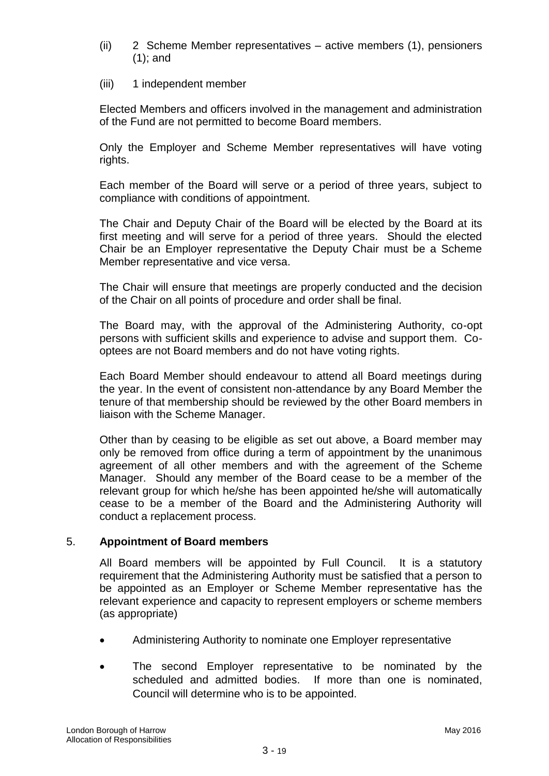- (ii) 2 Scheme Member representatives active members (1), pensioners (1); and
- (iii) 1 independent member

Elected Members and officers involved in the management and administration of the Fund are not permitted to become Board members.

Only the Employer and Scheme Member representatives will have voting rights.

Each member of the Board will serve or a period of three years, subject to compliance with conditions of appointment.

The Chair and Deputy Chair of the Board will be elected by the Board at its first meeting and will serve for a period of three years. Should the elected Chair be an Employer representative the Deputy Chair must be a Scheme Member representative and vice versa.

The Chair will ensure that meetings are properly conducted and the decision of the Chair on all points of procedure and order shall be final.

The Board may, with the approval of the Administering Authority, co-opt persons with sufficient skills and experience to advise and support them. Cooptees are not Board members and do not have voting rights.

Each Board Member should endeavour to attend all Board meetings during the year. In the event of consistent non-attendance by any Board Member the tenure of that membership should be reviewed by the other Board members in liaison with the Scheme Manager.

Other than by ceasing to be eligible as set out above, a Board member may only be removed from office during a term of appointment by the unanimous agreement of all other members and with the agreement of the Scheme Manager. Should any member of the Board cease to be a member of the relevant group for which he/she has been appointed he/she will automatically cease to be a member of the Board and the Administering Authority will conduct a replacement process.

# 5. **Appointment of Board members**

All Board members will be appointed by Full Council. It is a statutory requirement that the Administering Authority must be satisfied that a person to be appointed as an Employer or Scheme Member representative has the relevant experience and capacity to represent employers or scheme members (as appropriate)

- Administering Authority to nominate one Employer representative
- The second Employer representative to be nominated by the scheduled and admitted bodies. If more than one is nominated, Council will determine who is to be appointed.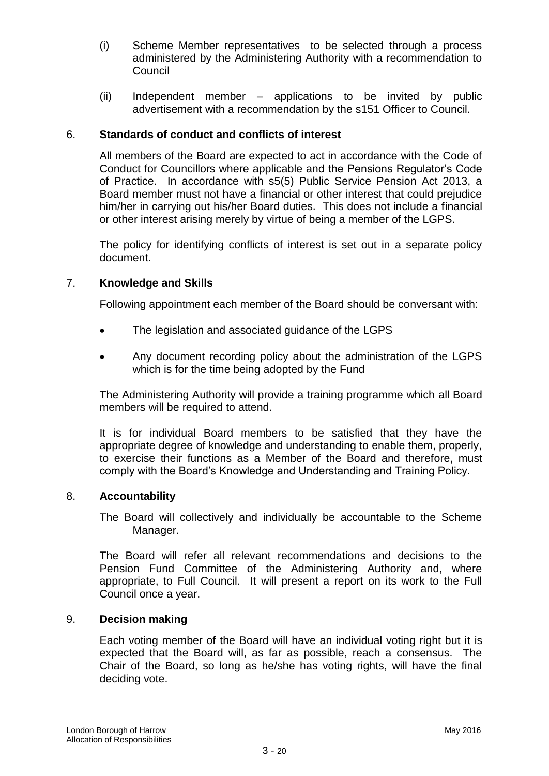- (i) Scheme Member representatives to be selected through a process administered by the Administering Authority with a recommendation to Council
- (ii) Independent member applications to be invited by public advertisement with a recommendation by the s151 Officer to Council.

#### 6. **Standards of conduct and conflicts of interest**

All members of the Board are expected to act in accordance with the Code of Conduct for Councillors where applicable and the Pensions Regulator"s Code of Practice. In accordance with s5(5) Public Service Pension Act 2013, a Board member must not have a financial or other interest that could prejudice him/her in carrying out his/her Board duties. This does not include a financial or other interest arising merely by virtue of being a member of the LGPS.

The policy for identifying conflicts of interest is set out in a separate policy document.

#### 7. **Knowledge and Skills**

Following appointment each member of the Board should be conversant with:

- The legislation and associated guidance of the LGPS
- Any document recording policy about the administration of the LGPS which is for the time being adopted by the Fund

The Administering Authority will provide a training programme which all Board members will be required to attend.

It is for individual Board members to be satisfied that they have the appropriate degree of knowledge and understanding to enable them, properly, to exercise their functions as a Member of the Board and therefore, must comply with the Board"s Knowledge and Understanding and Training Policy.

#### 8. **Accountability**

The Board will collectively and individually be accountable to the Scheme Manager.

The Board will refer all relevant recommendations and decisions to the Pension Fund Committee of the Administering Authority and, where appropriate, to Full Council. It will present a report on its work to the Full Council once a year.

#### 9. **Decision making**

Each voting member of the Board will have an individual voting right but it is expected that the Board will, as far as possible, reach a consensus. The Chair of the Board, so long as he/she has voting rights, will have the final deciding vote.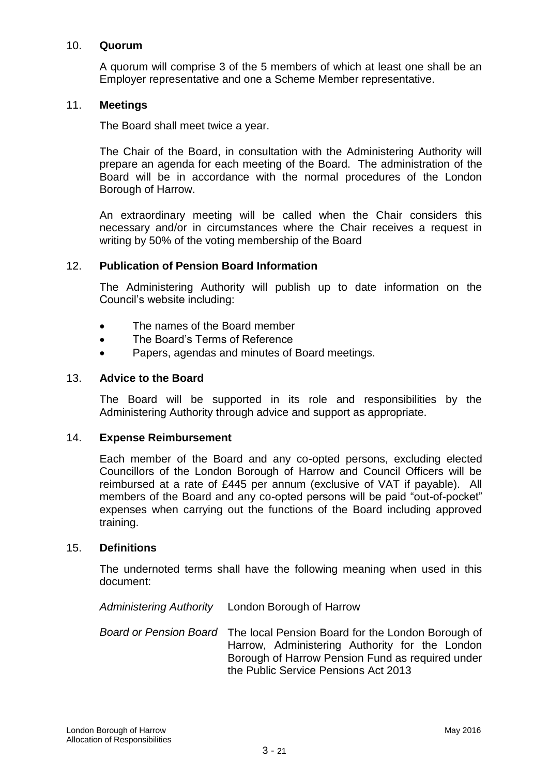#### 10. **Quorum**

A quorum will comprise 3 of the 5 members of which at least one shall be an Employer representative and one a Scheme Member representative.

#### 11. **Meetings**

The Board shall meet twice a year.

The Chair of the Board, in consultation with the Administering Authority will prepare an agenda for each meeting of the Board. The administration of the Board will be in accordance with the normal procedures of the London Borough of Harrow.

An extraordinary meeting will be called when the Chair considers this necessary and/or in circumstances where the Chair receives a request in writing by 50% of the voting membership of the Board

#### 12. **Publication of Pension Board Information**

The Administering Authority will publish up to date information on the Council"s website including:

- The names of the Board member
- The Board's Terms of Reference
- Papers, agendas and minutes of Board meetings.

#### 13. **Advice to the Board**

The Board will be supported in its role and responsibilities by the Administering Authority through advice and support as appropriate.

#### 14. **Expense Reimbursement**

Each member of the Board and any co-opted persons, excluding elected Councillors of the London Borough of Harrow and Council Officers will be reimbursed at a rate of £445 per annum (exclusive of VAT if payable). All members of the Board and any co-opted persons will be paid "out-of-pocket" expenses when carrying out the functions of the Board including approved training.

#### 15. **Definitions**

The undernoted terms shall have the following meaning when used in this document:

*Administering Authority* London Borough of Harrow

*Board or Pension Board* The local Pension Board for the London Borough of Harrow, Administering Authority for the London Borough of Harrow Pension Fund as required under the Public Service Pensions Act 2013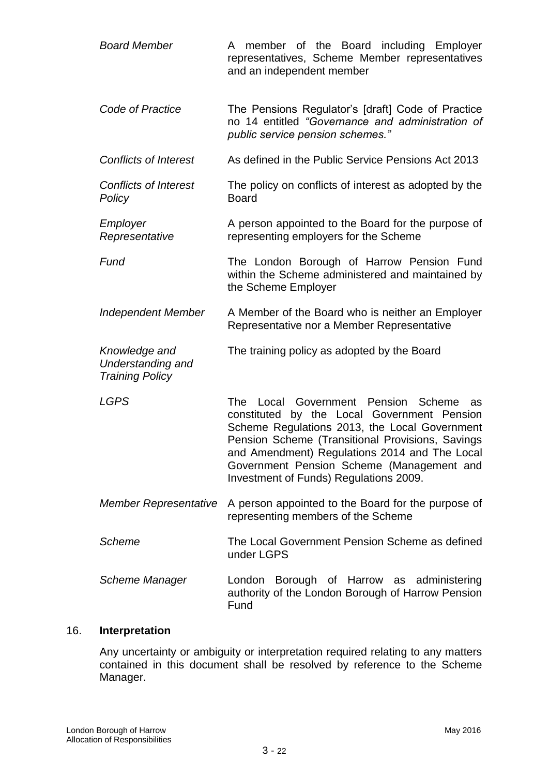| <b>Board Member</b>                                                 | A member of the Board including Employer<br>representatives, Scheme Member representatives<br>and an independent member                                                                                                                                                                                                               |
|---------------------------------------------------------------------|---------------------------------------------------------------------------------------------------------------------------------------------------------------------------------------------------------------------------------------------------------------------------------------------------------------------------------------|
| Code of Practice                                                    | The Pensions Regulator's [draft] Code of Practice<br>no 14 entitled "Governance and administration of<br>public service pension schemes."                                                                                                                                                                                             |
| <b>Conflicts of Interest</b>                                        | As defined in the Public Service Pensions Act 2013                                                                                                                                                                                                                                                                                    |
| <b>Conflicts of Interest</b><br>Policy                              | The policy on conflicts of interest as adopted by the<br><b>Board</b>                                                                                                                                                                                                                                                                 |
| Employer<br>Representative                                          | A person appointed to the Board for the purpose of<br>representing employers for the Scheme                                                                                                                                                                                                                                           |
| Fund                                                                | The London Borough of Harrow Pension Fund<br>within the Scheme administered and maintained by<br>the Scheme Employer                                                                                                                                                                                                                  |
| <b>Independent Member</b>                                           | A Member of the Board who is neither an Employer<br>Representative nor a Member Representative                                                                                                                                                                                                                                        |
| Knowledge and<br><b>Understanding and</b><br><b>Training Policy</b> | The training policy as adopted by the Board                                                                                                                                                                                                                                                                                           |
| <b>LGPS</b>                                                         | The Local Government Pension Scheme<br>as<br>constituted by the Local Government Pension<br>Scheme Regulations 2013, the Local Government<br>Pension Scheme (Transitional Provisions, Savings<br>and Amendment) Regulations 2014 and The Local<br>Government Pension Scheme (Management and<br>Investment of Funds) Regulations 2009. |
| <b>Member Representative</b>                                        | A person appointed to the Board for the purpose of<br>representing members of the Scheme                                                                                                                                                                                                                                              |
| <b>Scheme</b>                                                       | The Local Government Pension Scheme as defined<br>under LGPS                                                                                                                                                                                                                                                                          |
| Scheme Manager                                                      | London Borough of Harrow as administering<br>authority of the London Borough of Harrow Pension<br>Fund                                                                                                                                                                                                                                |

# 16. **Interpretation**

Any uncertainty or ambiguity or interpretation required relating to any matters contained in this document shall be resolved by reference to the Scheme Manager.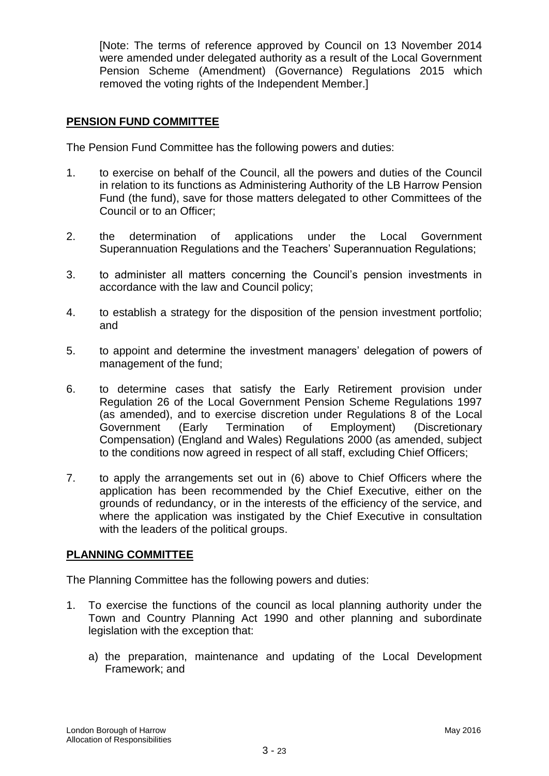[Note: The terms of reference approved by Council on 13 November 2014 were amended under delegated authority as a result of the Local Government Pension Scheme (Amendment) (Governance) Regulations 2015 which removed the voting rights of the Independent Member.]

#### **PENSION FUND COMMITTEE**

The Pension Fund Committee has the following powers and duties:

- 1. to exercise on behalf of the Council, all the powers and duties of the Council in relation to its functions as Administering Authority of the LB Harrow Pension Fund (the fund), save for those matters delegated to other Committees of the Council or to an Officer;
- 2. the determination of applications under the Local Government Superannuation Regulations and the Teachers' Superannuation Regulations;
- 3. to administer all matters concerning the Council"s pension investments in accordance with the law and Council policy;
- 4. to establish a strategy for the disposition of the pension investment portfolio; and
- 5. to appoint and determine the investment managers" delegation of powers of management of the fund;
- 6. to determine cases that satisfy the Early Retirement provision under Regulation 26 of the Local Government Pension Scheme Regulations 1997 (as amended), and to exercise discretion under Regulations 8 of the Local Government (Early Termination of Employment) (Discretionary Compensation) (England and Wales) Regulations 2000 (as amended, subject to the conditions now agreed in respect of all staff, excluding Chief Officers;
- 7. to apply the arrangements set out in (6) above to Chief Officers where the application has been recommended by the Chief Executive, either on the grounds of redundancy, or in the interests of the efficiency of the service, and where the application was instigated by the Chief Executive in consultation with the leaders of the political groups.

#### **PLANNING COMMITTEE**

The Planning Committee has the following powers and duties:

- 1. To exercise the functions of the council as local planning authority under the Town and Country Planning Act 1990 and other planning and subordinate legislation with the exception that:
	- a) the preparation, maintenance and updating of the Local Development Framework; and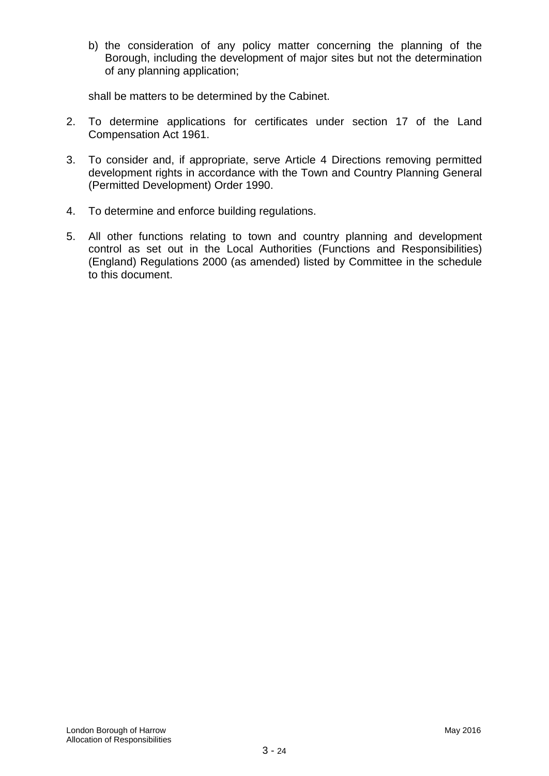b) the consideration of any policy matter concerning the planning of the Borough, including the development of major sites but not the determination of any planning application;

shall be matters to be determined by the Cabinet.

- 2. To determine applications for certificates under section 17 of the Land Compensation Act 1961.
- 3. To consider and, if appropriate, serve Article 4 Directions removing permitted development rights in accordance with the Town and Country Planning General (Permitted Development) Order 1990.
- 4. To determine and enforce building regulations.
- 5. All other functions relating to town and country planning and development control as set out in the Local Authorities (Functions and Responsibilities) (England) Regulations 2000 (as amended) listed by Committee in the schedule to this document.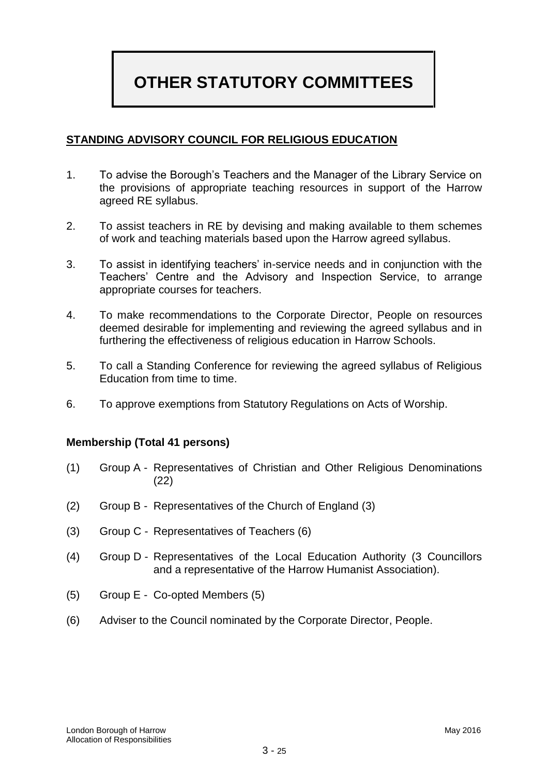# **OTHER STATUTORY COMMITTEES**

### **STANDING ADVISORY COUNCIL FOR RELIGIOUS EDUCATION**

- 1. To advise the Borough"s Teachers and the Manager of the Library Service on the provisions of appropriate teaching resources in support of the Harrow agreed RE syllabus.
- 2. To assist teachers in RE by devising and making available to them schemes of work and teaching materials based upon the Harrow agreed syllabus.
- 3. To assist in identifying teachers' in-service needs and in conjunction with the Teachers" Centre and the Advisory and Inspection Service, to arrange appropriate courses for teachers.
- 4. To make recommendations to the Corporate Director, People on resources deemed desirable for implementing and reviewing the agreed syllabus and in furthering the effectiveness of religious education in Harrow Schools.
- 5. To call a Standing Conference for reviewing the agreed syllabus of Religious Education from time to time.
- 6. To approve exemptions from Statutory Regulations on Acts of Worship.

#### **Membership (Total 41 persons)**

- (1) Group A Representatives of Christian and Other Religious Denominations (22)
- (2) Group B Representatives of the Church of England (3)
- (3) Group C Representatives of Teachers (6)
- (4) Group D Representatives of the Local Education Authority (3 Councillors and a representative of the Harrow Humanist Association).
- (5) Group E Co-opted Members (5)
- (6) Adviser to the Council nominated by the Corporate Director, People.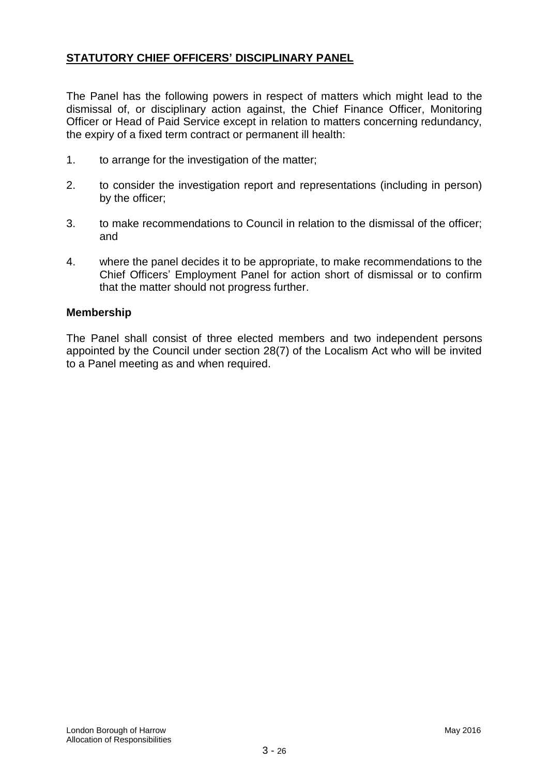# **STATUTORY CHIEF OFFICERS" DISCIPLINARY PANEL**

The Panel has the following powers in respect of matters which might lead to the dismissal of, or disciplinary action against, the Chief Finance Officer, Monitoring Officer or Head of Paid Service except in relation to matters concerning redundancy, the expiry of a fixed term contract or permanent ill health:

- 1. to arrange for the investigation of the matter;
- 2. to consider the investigation report and representations (including in person) by the officer;
- 3. to make recommendations to Council in relation to the dismissal of the officer; and
- 4. where the panel decides it to be appropriate, to make recommendations to the Chief Officers" Employment Panel for action short of dismissal or to confirm that the matter should not progress further.

#### **Membership**

The Panel shall consist of three elected members and two independent persons appointed by the Council under section 28(7) of the Localism Act who will be invited to a Panel meeting as and when required.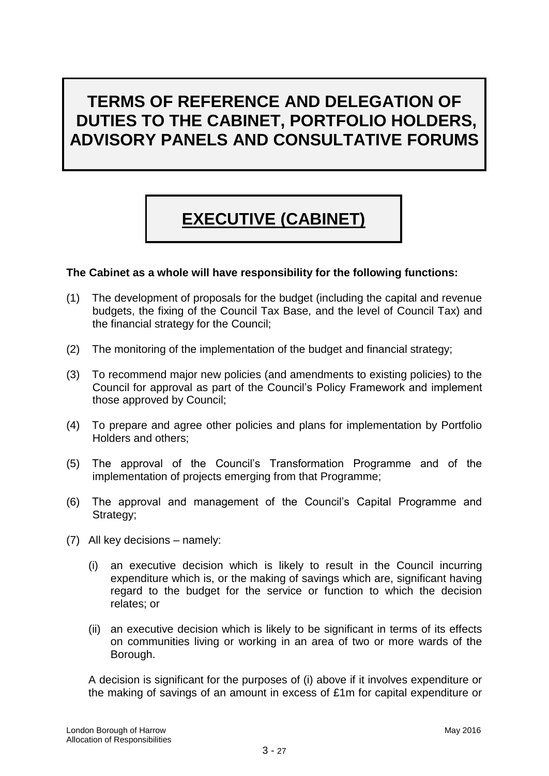# **TERMS OF REFERENCE AND DELEGATION OF DUTIES TO THE CABINET, PORTFOLIO HOLDERS, ADVISORY PANELS AND CONSULTATIVE FORUMS**

# **EXECUTIVE (CABINET)**

#### **The Cabinet as a whole will have responsibility for the following functions:**

- (1) The development of proposals for the budget (including the capital and revenue budgets, the fixing of the Council Tax Base*,* and the level of Council Tax) and the financial strategy for the Council;
- (2) The monitoring of the implementation of the budget and financial strategy;
- (3) To recommend major new policies (and amendments to existing policies) to the Council for approval as part of the Council"s Policy Framework and implement those approved by Council;
- (4) To prepare and agree other policies and plans for implementation by Portfolio Holders and others;
- (5) The approval of the Council"s Transformation Programme and of the implementation of projects emerging from that Programme;
- (6) The approval and management of the Council"s Capital Programme and Strategy;
- (7) All key decisions namely:
	- (i) an executive decision which is likely to result in the Council incurring expenditure which is, or the making of savings which are, significant having regard to the budget for the service or function to which the decision relates; or
	- (ii) an executive decision which is likely to be significant in terms of its effects on communities living or working in an area of two or more wards of the Borough.

A decision is significant for the purposes of (i) above if it involves expenditure or the making of savings of an amount in excess of £1m for capital expenditure or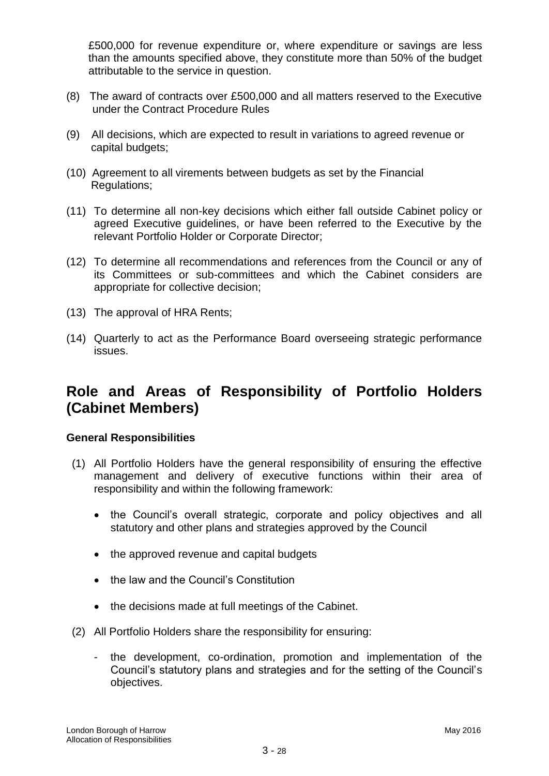£500,000 for revenue expenditure or, where expenditure or savings are less than the amounts specified above, they constitute more than 50% of the budget attributable to the service in question.

- (8) The award of contracts over £500,000 and all matters reserved to the Executive under the Contract Procedure Rules
- (9) All decisions, which are expected to result in variations to agreed revenue or capital budgets;
- (10) Agreement to all virements between budgets as set by the Financial Regulations;
- (11) To determine all non-key decisions which either fall outside Cabinet policy or agreed Executive guidelines, or have been referred to the Executive by the relevant Portfolio Holder or Corporate Director;
- (12) To determine all recommendations and references from the Council or any of its Committees or sub-committees and which the Cabinet considers are appropriate for collective decision;
- (13) The approval of HRA Rents;
- (14) Quarterly to act as the Performance Board overseeing strategic performance issues.

# **Role and Areas of Responsibility of Portfolio Holders (Cabinet Members)**

#### **General Responsibilities**

- (1) All Portfolio Holders have the general responsibility of ensuring the effective management and delivery of executive functions within their area of responsibility and within the following framework:
	- the Council's overall strategic, corporate and policy objectives and all statutory and other plans and strategies approved by the Council
	- the approved revenue and capital budgets
	- the law and the Council's Constitution
	- the decisions made at full meetings of the Cabinet.
- (2) All Portfolio Holders share the responsibility for ensuring:
	- the development, co-ordination, promotion and implementation of the Council"s statutory plans and strategies and for the setting of the Council"s objectives.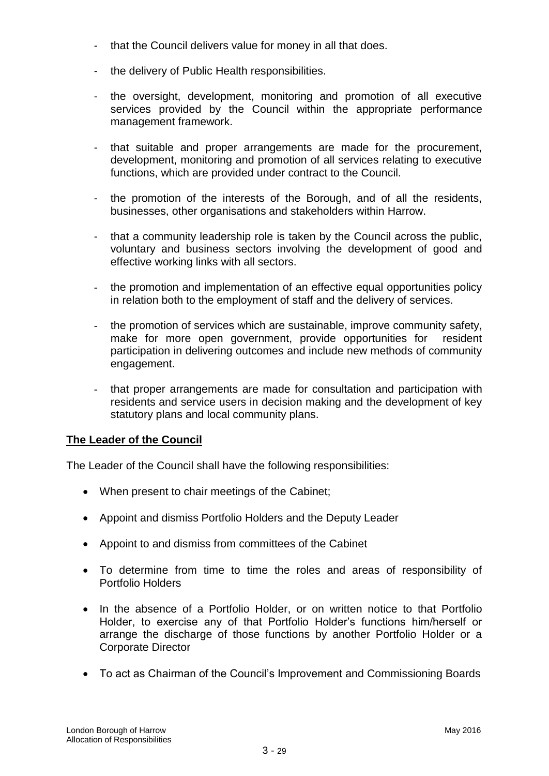- that the Council delivers value for money in all that does.
- the delivery of Public Health responsibilities.
- the oversight, development, monitoring and promotion of all executive services provided by the Council within the appropriate performance management framework.
- that suitable and proper arrangements are made for the procurement, development, monitoring and promotion of all services relating to executive functions, which are provided under contract to the Council.
- the promotion of the interests of the Borough, and of all the residents, businesses, other organisations and stakeholders within Harrow.
- that a community leadership role is taken by the Council across the public, voluntary and business sectors involving the development of good and effective working links with all sectors.
- the promotion and implementation of an effective equal opportunities policy in relation both to the employment of staff and the delivery of services.
- the promotion of services which are sustainable, improve community safety, make for more open government, provide opportunities for resident participation in delivering outcomes and include new methods of community engagement.
- that proper arrangements are made for consultation and participation with residents and service users in decision making and the development of key statutory plans and local community plans.

# **The Leader of the Council**

The Leader of the Council shall have the following responsibilities:

- When present to chair meetings of the Cabinet;
- Appoint and dismiss Portfolio Holders and the Deputy Leader
- Appoint to and dismiss from committees of the Cabinet
- To determine from time to time the roles and areas of responsibility of Portfolio Holders
- In the absence of a Portfolio Holder, or on written notice to that Portfolio Holder, to exercise any of that Portfolio Holder"s functions him/herself or arrange the discharge of those functions by another Portfolio Holder or a Corporate Director
- To act as Chairman of the Council"s Improvement and Commissioning Boards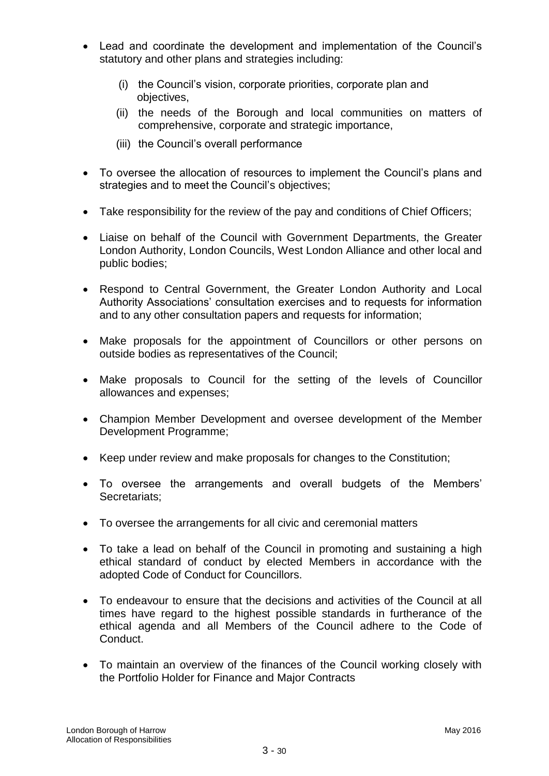- Lead and coordinate the development and implementation of the Council"s statutory and other plans and strategies including:
	- (i) the Council"s vision, corporate priorities, corporate plan and objectives,
	- (ii) the needs of the Borough and local communities on matters of comprehensive, corporate and strategic importance,
	- (iii) the Council"s overall performance
- To oversee the allocation of resources to implement the Council's plans and strategies and to meet the Council's objectives;
- Take responsibility for the review of the pay and conditions of Chief Officers;
- Liaise on behalf of the Council with Government Departments, the Greater London Authority, London Councils, West London Alliance and other local and public bodies;
- Respond to Central Government, the Greater London Authority and Local Authority Associations" consultation exercises and to requests for information and to any other consultation papers and requests for information;
- Make proposals for the appointment of Councillors or other persons on outside bodies as representatives of the Council;
- Make proposals to Council for the setting of the levels of Councillor allowances and expenses;
- Champion Member Development and oversee development of the Member Development Programme;
- Keep under review and make proposals for changes to the Constitution;
- To oversee the arrangements and overall budgets of the Members" Secretariats;
- To oversee the arrangements for all civic and ceremonial matters
- To take a lead on behalf of the Council in promoting and sustaining a high ethical standard of conduct by elected Members in accordance with the adopted Code of Conduct for Councillors.
- To endeavour to ensure that the decisions and activities of the Council at all times have regard to the highest possible standards in furtherance of the ethical agenda and all Members of the Council adhere to the Code of Conduct.
- To maintain an overview of the finances of the Council working closely with the Portfolio Holder for Finance and Major Contracts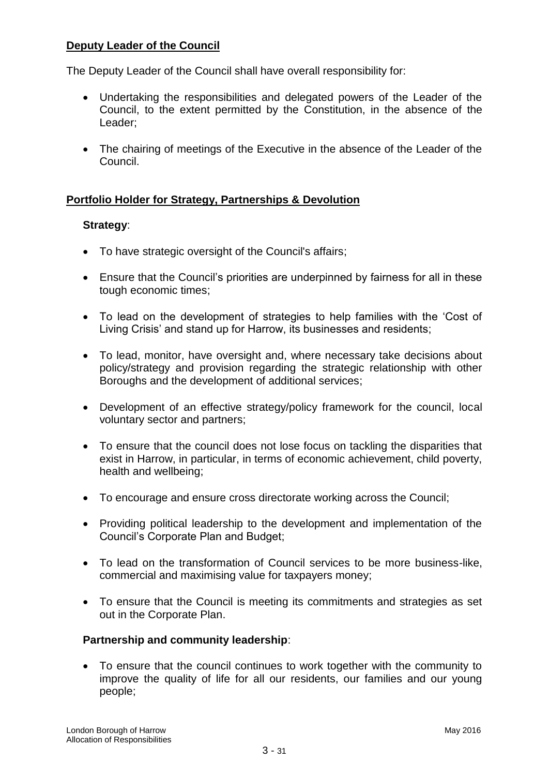# **Deputy Leader of the Council**

The Deputy Leader of the Council shall have overall responsibility for:

- Undertaking the responsibilities and delegated powers of the Leader of the Council, to the extent permitted by the Constitution, in the absence of the Leader;
- The chairing of meetings of the Executive in the absence of the Leader of the Council.

# **Portfolio Holder for Strategy, Partnerships & Devolution**

#### **Strategy**:

- To have strategic oversight of the Council's affairs;
- Ensure that the Council"s priorities are underpinned by fairness for all in these tough economic times;
- To lead on the development of strategies to help families with the "Cost of Living Crisis" and stand up for Harrow, its businesses and residents;
- To lead, monitor, have oversight and, where necessary take decisions about policy/strategy and provision regarding the strategic relationship with other Boroughs and the development of additional services;
- Development of an effective strategy/policy framework for the council, local voluntary sector and partners;
- To ensure that the council does not lose focus on tackling the disparities that exist in Harrow, in particular, in terms of economic achievement, child poverty, health and wellbeing;
- To encourage and ensure cross directorate working across the Council;
- Providing political leadership to the development and implementation of the Council"s Corporate Plan and Budget;
- To lead on the transformation of Council services to be more business-like, commercial and maximising value for taxpayers money;
- To ensure that the Council is meeting its commitments and strategies as set out in the Corporate Plan.

#### **Partnership and community leadership**:

 To ensure that the council continues to work together with the community to improve the quality of life for all our residents, our families and our young people;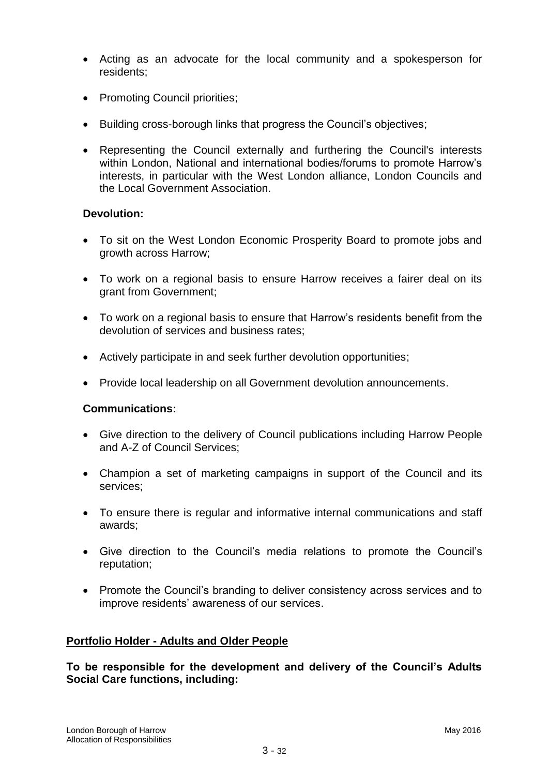- Acting as an advocate for the local community and a spokesperson for residents;
- Promoting Council priorities:
- Building cross-borough links that progress the Council's objectives;
- Representing the Council externally and furthering the Council's interests within London, National and international bodies/forums to promote Harrow's interests, in particular with the West London alliance, London Councils and the Local Government Association.

# **Devolution:**

- To sit on the West London Economic Prosperity Board to promote jobs and growth across Harrow;
- To work on a regional basis to ensure Harrow receives a fairer deal on its grant from Government;
- To work on a regional basis to ensure that Harrow"s residents benefit from the devolution of services and business rates;
- Actively participate in and seek further devolution opportunities;
- Provide local leadership on all Government devolution announcements.

#### **Communications:**

- Give direction to the delivery of Council publications including Harrow People and A-Z of Council Services;
- Champion a set of marketing campaigns in support of the Council and its services;
- To ensure there is regular and informative internal communications and staff awards;
- Give direction to the Council"s media relations to promote the Council"s reputation;
- Promote the Council's branding to deliver consistency across services and to improve residents' awareness of our services.

#### **Portfolio Holder - Adults and Older People**

**To be responsible for the development and delivery of the Council"s Adults Social Care functions, including:**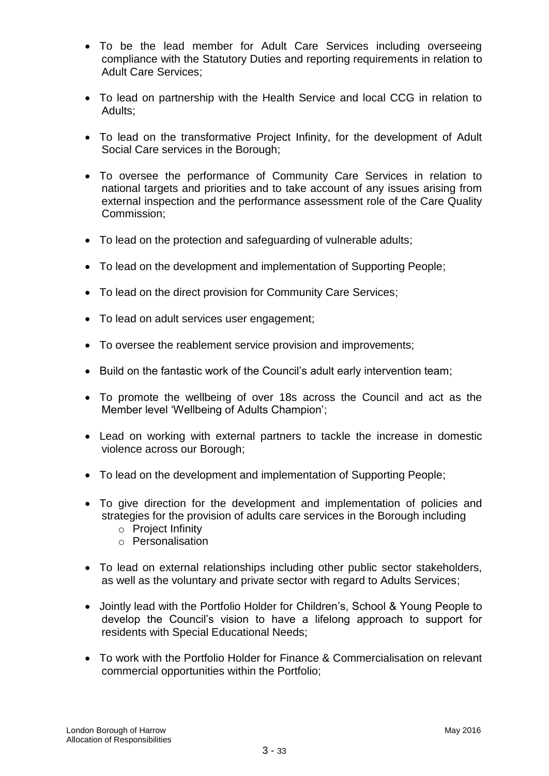- To be the lead member for Adult Care Services including overseeing compliance with the Statutory Duties and reporting requirements in relation to Adult Care Services;
- To lead on partnership with the Health Service and local CCG in relation to Adults;
- To lead on the transformative Project Infinity, for the development of Adult Social Care services in the Borough;
- To oversee the performance of Community Care Services in relation to national targets and priorities and to take account of any issues arising from external inspection and the performance assessment role of the Care Quality Commission;
- To lead on the protection and safeguarding of vulnerable adults;
- To lead on the development and implementation of Supporting People;
- To lead on the direct provision for Community Care Services;
- To lead on adult services user engagement;
- To oversee the reablement service provision and improvements;
- Build on the fantastic work of the Council's adult early intervention team;
- To promote the wellbeing of over 18s across the Council and act as the Member level "Wellbeing of Adults Champion";
- Lead on working with external partners to tackle the increase in domestic violence across our Borough;
- To lead on the development and implementation of Supporting People;
- To give direction for the development and implementation of policies and strategies for the provision of adults care services in the Borough including
	- o Project Infinity
	- o Personalisation
- To lead on external relationships including other public sector stakeholders, as well as the voluntary and private sector with regard to Adults Services;
- Jointly lead with the Portfolio Holder for Children"s, School & Young People to develop the Council"s vision to have a lifelong approach to support for residents with Special Educational Needs;
- To work with the Portfolio Holder for Finance & Commercialisation on relevant commercial opportunities within the Portfolio;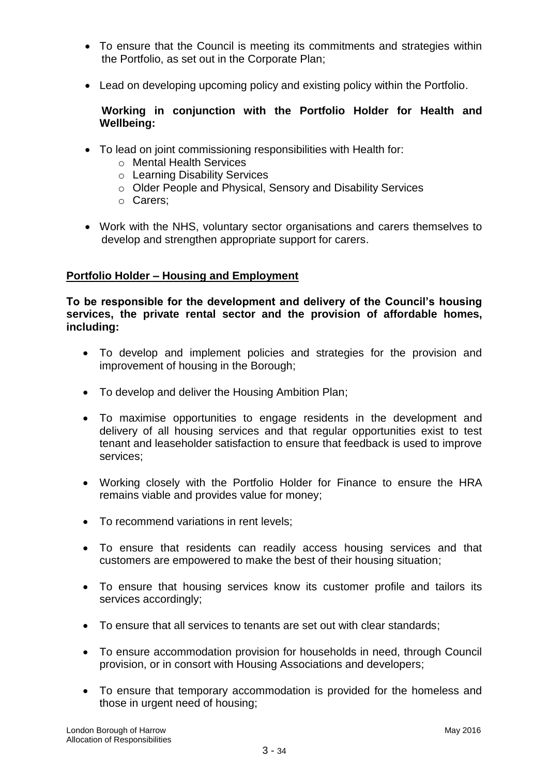- To ensure that the Council is meeting its commitments and strategies within the Portfolio, as set out in the Corporate Plan;
- Lead on developing upcoming policy and existing policy within the Portfolio.

# **Working in conjunction with the Portfolio Holder for Health and Wellbeing:**

- To lead on joint commissioning responsibilities with Health for:
	- o Mental Health Services
	- o Learning Disability Services
	- o Older People and Physical, Sensory and Disability Services
	- o Carers;
- Work with the NHS, voluntary sector organisations and carers themselves to develop and strengthen appropriate support for carers.

# **Portfolio Holder – Housing and Employment**

**To be responsible for the development and delivery of the Council"s housing services, the private rental sector and the provision of affordable homes, including:** 

- To develop and implement policies and strategies for the provision and improvement of housing in the Borough;
- To develop and deliver the Housing Ambition Plan;
- To maximise opportunities to engage residents in the development and delivery of all housing services and that regular opportunities exist to test tenant and leaseholder satisfaction to ensure that feedback is used to improve services;
- Working closely with the Portfolio Holder for Finance to ensure the HRA remains viable and provides value for money;
- To recommend variations in rent levels:
- To ensure that residents can readily access housing services and that customers are empowered to make the best of their housing situation;
- To ensure that housing services know its customer profile and tailors its services accordingly;
- To ensure that all services to tenants are set out with clear standards;
- To ensure accommodation provision for households in need, through Council provision, or in consort with Housing Associations and developers;
- To ensure that temporary accommodation is provided for the homeless and those in urgent need of housing;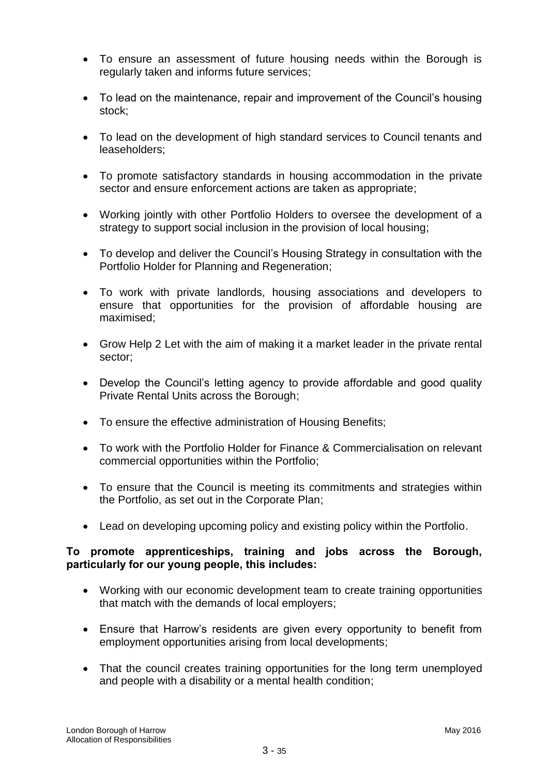- To ensure an assessment of future housing needs within the Borough is regularly taken and informs future services;
- To lead on the maintenance, repair and improvement of the Council's housing stock;
- To lead on the development of high standard services to Council tenants and leaseholders;
- To promote satisfactory standards in housing accommodation in the private sector and ensure enforcement actions are taken as appropriate;
- Working jointly with other Portfolio Holders to oversee the development of a strategy to support social inclusion in the provision of local housing;
- To develop and deliver the Council's Housing Strategy in consultation with the Portfolio Holder for Planning and Regeneration;
- To work with private landlords, housing associations and developers to ensure that opportunities for the provision of affordable housing are maximised;
- Grow Help 2 Let with the aim of making it a market leader in the private rental sector;
- Develop the Council's letting agency to provide affordable and good quality Private Rental Units across the Borough;
- To ensure the effective administration of Housing Benefits;
- To work with the Portfolio Holder for Finance & Commercialisation on relevant commercial opportunities within the Portfolio;
- To ensure that the Council is meeting its commitments and strategies within the Portfolio, as set out in the Corporate Plan;
- Lead on developing upcoming policy and existing policy within the Portfolio.

#### **To promote apprenticeships, training and jobs across the Borough, particularly for our young people, this includes:**

- Working with our economic development team to create training opportunities that match with the demands of local employers;
- Ensure that Harrow"s residents are given every opportunity to benefit from employment opportunities arising from local developments;
- That the council creates training opportunities for the long term unemployed and people with a disability or a mental health condition;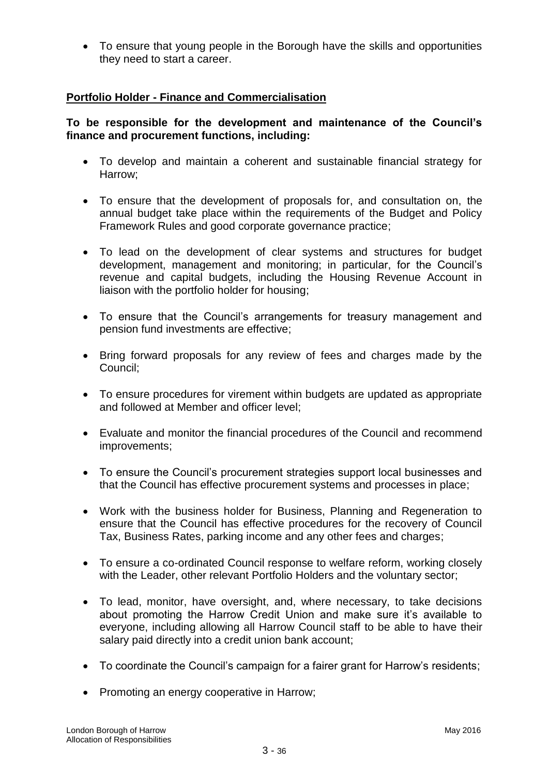To ensure that young people in the Borough have the skills and opportunities they need to start a career.

# **Portfolio Holder - Finance and Commercialisation**

# **To be responsible for the development and maintenance of the Council"s finance and procurement functions, including:**

- To develop and maintain a coherent and sustainable financial strategy for Harrow;
- To ensure that the development of proposals for, and consultation on, the annual budget take place within the requirements of the Budget and Policy Framework Rules and good corporate governance practice;
- To lead on the development of clear systems and structures for budget development, management and monitoring; in particular, for the Council"s revenue and capital budgets, including the Housing Revenue Account in liaison with the portfolio holder for housing;
- To ensure that the Council's arrangements for treasury management and pension fund investments are effective;
- Bring forward proposals for any review of fees and charges made by the Council;
- To ensure procedures for virement within budgets are updated as appropriate and followed at Member and officer level;
- Evaluate and monitor the financial procedures of the Council and recommend improvements;
- To ensure the Council's procurement strategies support local businesses and that the Council has effective procurement systems and processes in place;
- Work with the business holder for Business, Planning and Regeneration to ensure that the Council has effective procedures for the recovery of Council Tax, Business Rates, parking income and any other fees and charges;
- To ensure a co-ordinated Council response to welfare reform, working closely with the Leader, other relevant Portfolio Holders and the voluntary sector;
- To lead, monitor, have oversight, and, where necessary, to take decisions about promoting the Harrow Credit Union and make sure it's available to everyone, including allowing all Harrow Council staff to be able to have their salary paid directly into a credit union bank account;
- To coordinate the Council's campaign for a fairer grant for Harrow's residents;
- Promoting an energy cooperative in Harrow;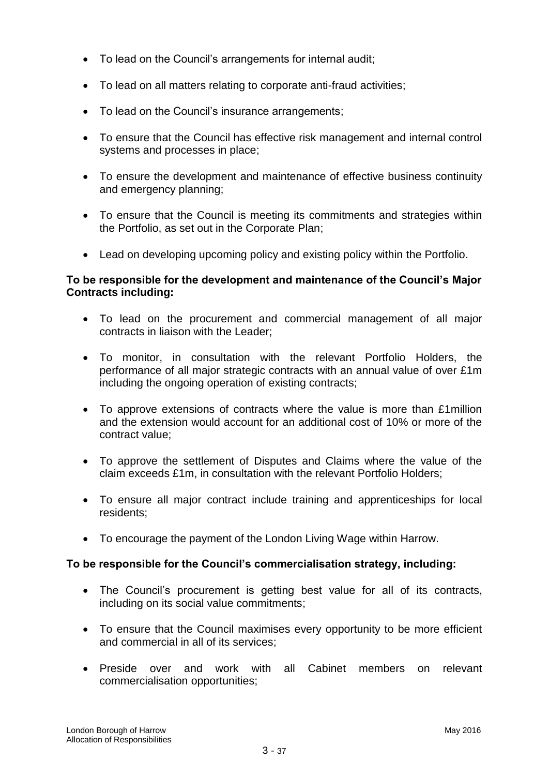- To lead on the Council's arrangements for internal audit;
- To lead on all matters relating to corporate anti-fraud activities;
- To lead on the Council's insurance arrangements;
- To ensure that the Council has effective risk management and internal control systems and processes in place;
- To ensure the development and maintenance of effective business continuity and emergency planning;
- To ensure that the Council is meeting its commitments and strategies within the Portfolio, as set out in the Corporate Plan;
- Lead on developing upcoming policy and existing policy within the Portfolio.

# **To be responsible for the development and maintenance of the Council"s Major Contracts including:**

- To lead on the procurement and commercial management of all major contracts in liaison with the Leader;
- To monitor, in consultation with the relevant Portfolio Holders, the performance of all major strategic contracts with an annual value of over £1m including the ongoing operation of existing contracts;
- To approve extensions of contracts where the value is more than £1million and the extension would account for an additional cost of 10% or more of the contract value;
- To approve the settlement of Disputes and Claims where the value of the claim exceeds £1m, in consultation with the relevant Portfolio Holders;
- To ensure all major contract include training and apprenticeships for local residents;
- To encourage the payment of the London Living Wage within Harrow.

# **To be responsible for the Council"s commercialisation strategy, including:**

- The Council's procurement is getting best value for all of its contracts, including on its social value commitments;
- To ensure that the Council maximises every opportunity to be more efficient and commercial in all of its services;
- Preside over and work with all Cabinet members on relevant commercialisation opportunities;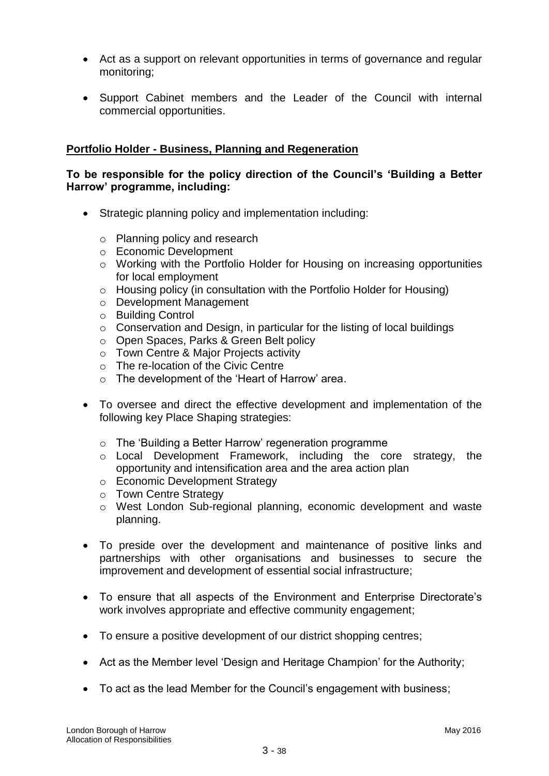- Act as a support on relevant opportunities in terms of governance and regular monitoring;
- Support Cabinet members and the Leader of the Council with internal commercial opportunities.

# **Portfolio Holder - Business, Planning and Regeneration**

#### **To be responsible for the policy direction of the Council"s "Building a Better Harrow" programme, including:**

- Strategic planning policy and implementation including:
	- o Planning policy and research
	- o Economic Development
	- o Working with the Portfolio Holder for Housing on increasing opportunities for local employment
	- o Housing policy (in consultation with the Portfolio Holder for Housing)
	- o Development Management
	- o Building Control
	- o Conservation and Design, in particular for the listing of local buildings
	- o Open Spaces, Parks & Green Belt policy
	- o Town Centre & Major Projects activity
	- o The re-location of the Civic Centre
	- $\circ$  The development of the 'Heart of Harrow' area.
- To oversee and direct the effective development and implementation of the following key Place Shaping strategies:
	- $\circ$  The 'Building a Better Harrow' regeneration programme
	- o Local Development Framework, including the core strategy, the opportunity and intensification area and the area action plan
	- o Economic Development Strategy
	- o Town Centre Strategy
	- o West London Sub-regional planning, economic development and waste planning.
- To preside over the development and maintenance of positive links and partnerships with other organisations and businesses to secure the improvement and development of essential social infrastructure;
- To ensure that all aspects of the Environment and Enterprise Directorate's work involves appropriate and effective community engagement;
- To ensure a positive development of our district shopping centres;
- Act as the Member level 'Design and Heritage Champion' for the Authority;
- To act as the lead Member for the Council's engagement with business;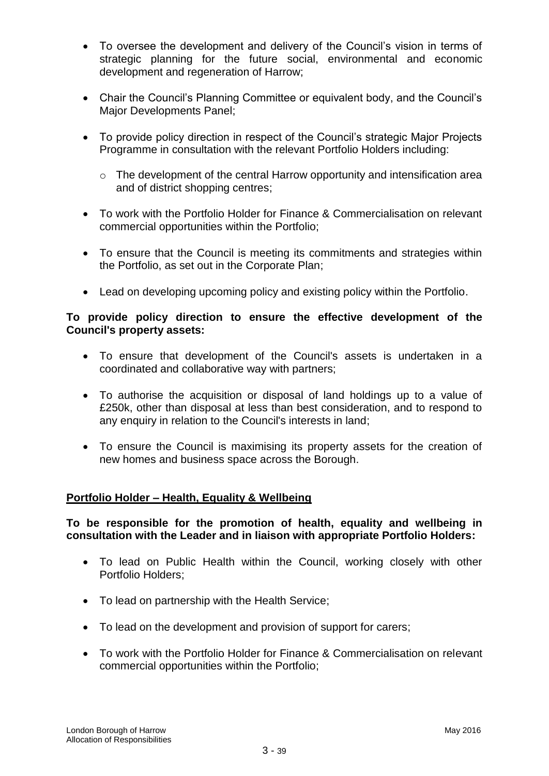- To oversee the development and delivery of the Council's vision in terms of strategic planning for the future social, environmental and economic development and regeneration of Harrow;
- Chair the Council's Planning Committee or equivalent body, and the Council's Major Developments Panel;
- To provide policy direction in respect of the Council's strategic Major Projects Programme in consultation with the relevant Portfolio Holders including:
	- o The development of the central Harrow opportunity and intensification area and of district shopping centres;
- To work with the Portfolio Holder for Finance & Commercialisation on relevant commercial opportunities within the Portfolio;
- To ensure that the Council is meeting its commitments and strategies within the Portfolio, as set out in the Corporate Plan;
- Lead on developing upcoming policy and existing policy within the Portfolio.

#### **To provide policy direction to ensure the effective development of the Council's property assets:**

- To ensure that development of the Council's assets is undertaken in a coordinated and collaborative way with partners;
- To authorise the acquisition or disposal of land holdings up to a value of £250k, other than disposal at less than best consideration, and to respond to any enquiry in relation to the Council's interests in land;
- To ensure the Council is maximising its property assets for the creation of new homes and business space across the Borough.

#### **Portfolio Holder – Health, Equality & Wellbeing**

**To be responsible for the promotion of health, equality and wellbeing in consultation with the Leader and in liaison with appropriate Portfolio Holders:**

- To lead on Public Health within the Council, working closely with other Portfolio Holders;
- To lead on partnership with the Health Service;
- To lead on the development and provision of support for carers;
- To work with the Portfolio Holder for Finance & Commercialisation on relevant commercial opportunities within the Portfolio;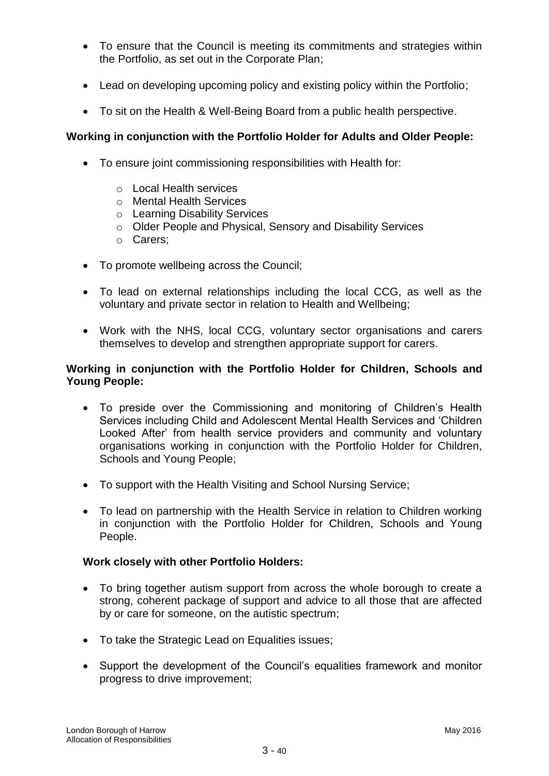- To ensure that the Council is meeting its commitments and strategies within the Portfolio, as set out in the Corporate Plan;
- Lead on developing upcoming policy and existing policy within the Portfolio;
- To sit on the Health & Well-Being Board from a public health perspective.

# **Working in conjunction with the Portfolio Holder for Adults and Older People:**

- To ensure joint commissioning responsibilities with Health for:
	- o Local Health services
	- o Mental Health Services
	- o Learning Disability Services
	- o Older People and Physical, Sensory and Disability Services
	- o Carers;
- To promote wellbeing across the Council;
- To lead on external relationships including the local CCG, as well as the voluntary and private sector in relation to Health and Wellbeing;
- Work with the NHS, local CCG, voluntary sector organisations and carers themselves to develop and strengthen appropriate support for carers.

### **Working in conjunction with the Portfolio Holder for Children, Schools and Young People:**

- To preside over the Commissioning and monitoring of Children's Health Services including Child and Adolescent Mental Health Services and "Children Looked After" from health service providers and community and voluntary organisations working in conjunction with the Portfolio Holder for Children, Schools and Young People;
- To support with the Health Visiting and School Nursing Service;
- To lead on partnership with the Health Service in relation to Children working in conjunction with the Portfolio Holder for Children, Schools and Young People.

#### **Work closely with other Portfolio Holders:**

- To bring together autism support from across the whole borough to create a strong, coherent package of support and advice to all those that are affected by or care for someone, on the autistic spectrum;
- To take the Strategic Lead on Equalities issues;
- Support the development of the Council"s equalities framework and monitor progress to drive improvement;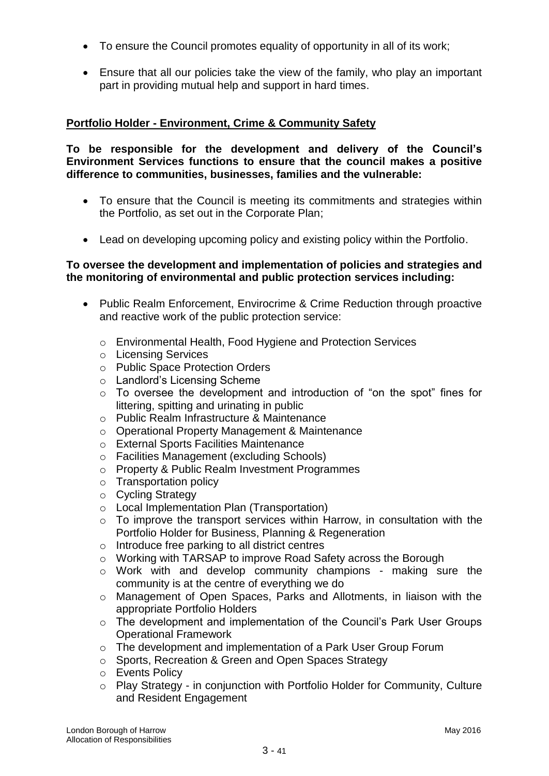- To ensure the Council promotes equality of opportunity in all of its work;
- Ensure that all our policies take the view of the family, who play an important part in providing mutual help and support in hard times.

# **Portfolio Holder - Environment, Crime & Community Safety**

**To be responsible for the development and delivery of the Council"s Environment Services functions to ensure that the council makes a positive difference to communities, businesses, families and the vulnerable:**

- To ensure that the Council is meeting its commitments and strategies within the Portfolio, as set out in the Corporate Plan;
- Lead on developing upcoming policy and existing policy within the Portfolio.

#### **To oversee the development and implementation of policies and strategies and the monitoring of environmental and public protection services including:**

- Public Realm Enforcement, Envirocrime & Crime Reduction through proactive and reactive work of the public protection service:
	- o Environmental Health, Food Hygiene and Protection Services
	- o Licensing Services
	- o Public Space Protection Orders
	- o Landlord"s Licensing Scheme
	- o To oversee the development and introduction of "on the spot" fines for littering, spitting and urinating in public
	- o Public Realm Infrastructure & Maintenance
	- o Operational Property Management & Maintenance
	- o External Sports Facilities Maintenance
	- o Facilities Management (excluding Schools)
	- o Property & Public Realm Investment Programmes
	- o Transportation policy
	- o Cycling Strategy
	- o Local Implementation Plan (Transportation)
	- o To improve the transport services within Harrow, in consultation with the Portfolio Holder for Business, Planning & Regeneration
	- o Introduce free parking to all district centres
	- o Working with TARSAP to improve Road Safety across the Borough
	- $\circ$  Work with and develop community champions making sure the community is at the centre of everything we do
	- o Management of Open Spaces, Parks and Allotments, in liaison with the appropriate Portfolio Holders
	- o The development and implementation of the Council"s Park User Groups Operational Framework
	- o The development and implementation of a Park User Group Forum
	- o Sports, Recreation & Green and Open Spaces Strategy
	- o Events Policy
	- o Play Strategy in conjunction with Portfolio Holder for Community, Culture and Resident Engagement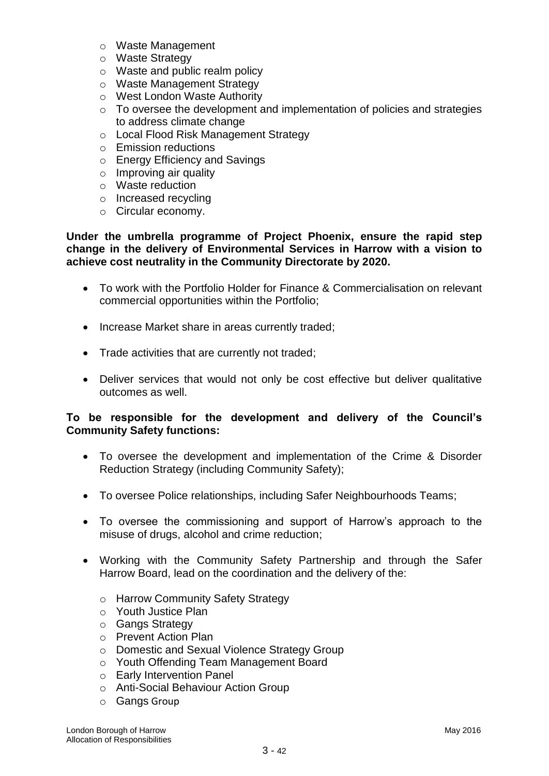- o Waste Management
- o Waste Strategy
- o Waste and public realm policy
- o Waste Management Strategy
- o West London Waste Authority
- o To oversee the development and implementation of policies and strategies to address climate change
- o Local Flood Risk Management Strategy
- o Emission reductions
- o Energy Efficiency and Savings
- o Improving air quality
- o Waste reduction
- o Increased recycling
- o Circular economy.

#### **Under the umbrella programme of Project Phoenix, ensure the rapid step change in the delivery of Environmental Services in Harrow with a vision to achieve cost neutrality in the Community Directorate by 2020.**

- To work with the Portfolio Holder for Finance & Commercialisation on relevant commercial opportunities within the Portfolio;
- Increase Market share in areas currently traded;
- Trade activities that are currently not traded;
- Deliver services that would not only be cost effective but deliver qualitative outcomes as well.

#### **To be responsible for the development and delivery of the Council"s Community Safety functions:**

- To oversee the development and implementation of the Crime & Disorder Reduction Strategy (including Community Safety);
- To oversee Police relationships, including Safer Neighbourhoods Teams;
- To oversee the commissioning and support of Harrow"s approach to the misuse of drugs, alcohol and crime reduction;
- Working with the Community Safety Partnership and through the Safer Harrow Board, lead on the coordination and the delivery of the:
	- o Harrow Community Safety Strategy
	- o Youth Justice Plan
	- o Gangs Strategy
	- o Prevent Action Plan
	- o Domestic and Sexual Violence Strategy Group
	- o Youth Offending Team Management Board
	- o Early Intervention Panel
	- o Anti-Social Behaviour Action Group
	- o Gangs Group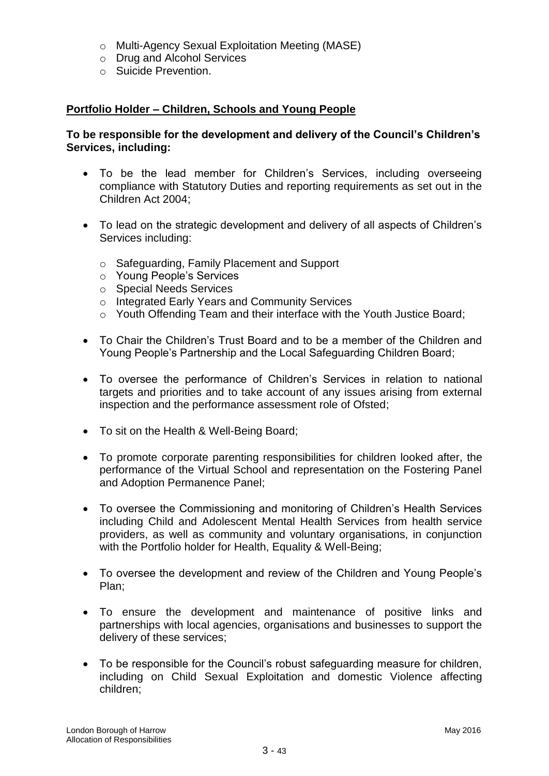- o Multi-Agency Sexual Exploitation Meeting (MASE)
- o Drug and Alcohol Services
- o Suicide Prevention.

# **Portfolio Holder – Children, Schools and Young People**

# **To be responsible for the development and delivery of the Council"s Children"s Services, including:**

- To be the lead member for Children's Services, including overseeing compliance with Statutory Duties and reporting requirements as set out in the Children Act 2004;
- To lead on the strategic development and delivery of all aspects of Children's Services including:
	- o Safeguarding, Family Placement and Support
	- o Young People"s Services
	- o Special Needs Services
	- o Integrated Early Years and Community Services
	- o Youth Offending Team and their interface with the Youth Justice Board;
- To Chair the Children"s Trust Board and to be a member of the Children and Young People"s Partnership and the Local Safeguarding Children Board;
- To oversee the performance of Children"s Services in relation to national targets and priorities and to take account of any issues arising from external inspection and the performance assessment role of Ofsted;
- To sit on the Health & Well-Being Board;
- To promote corporate parenting responsibilities for children looked after, the performance of the Virtual School and representation on the Fostering Panel and Adoption Permanence Panel;
- To oversee the Commissioning and monitoring of Children's Health Services including Child and Adolescent Mental Health Services from health service providers, as well as community and voluntary organisations, in conjunction with the Portfolio holder for Health, Equality & Well-Being;
- To oversee the development and review of the Children and Young People's Plan;
- To ensure the development and maintenance of positive links and partnerships with local agencies, organisations and businesses to support the delivery of these services;
- To be responsible for the Council"s robust safeguarding measure for children, including on Child Sexual Exploitation and domestic Violence affecting children;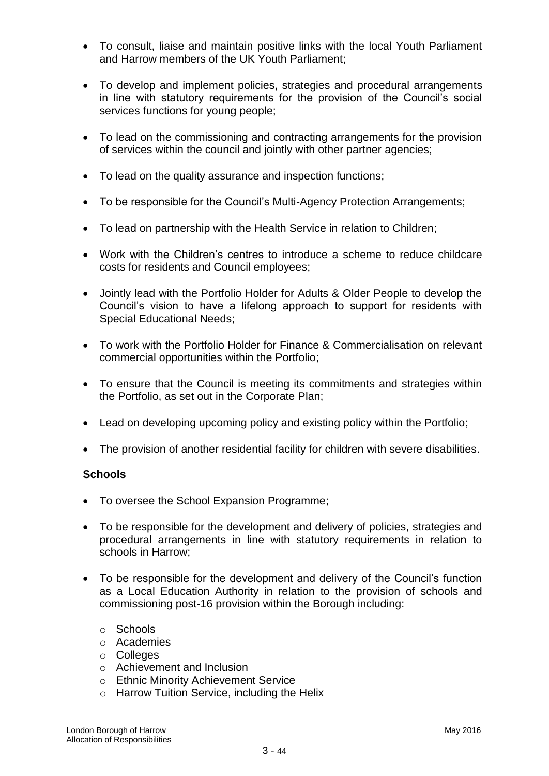- To consult, liaise and maintain positive links with the local Youth Parliament and Harrow members of the UK Youth Parliament;
- To develop and implement policies, strategies and procedural arrangements in line with statutory requirements for the provision of the Council"s social services functions for young people;
- To lead on the commissioning and contracting arrangements for the provision of services within the council and jointly with other partner agencies;
- To lead on the quality assurance and inspection functions;
- To be responsible for the Council's Multi-Agency Protection Arrangements;
- To lead on partnership with the Health Service in relation to Children;
- Work with the Children"s centres to introduce a scheme to reduce childcare costs for residents and Council employees;
- Jointly lead with the Portfolio Holder for Adults & Older People to develop the Council"s vision to have a lifelong approach to support for residents with Special Educational Needs;
- To work with the Portfolio Holder for Finance & Commercialisation on relevant commercial opportunities within the Portfolio;
- To ensure that the Council is meeting its commitments and strategies within the Portfolio, as set out in the Corporate Plan;
- Lead on developing upcoming policy and existing policy within the Portfolio;
- The provision of another residential facility for children with severe disabilities.

#### **Schools**

- To oversee the School Expansion Programme;
- To be responsible for the development and delivery of policies, strategies and procedural arrangements in line with statutory requirements in relation to schools in Harrow;
- To be responsible for the development and delivery of the Council's function as a Local Education Authority in relation to the provision of schools and commissioning post-16 provision within the Borough including:
	- o Schools
	- o Academies
	- o Colleges
	- o Achievement and Inclusion
	- o Ethnic Minority Achievement Service
	- o Harrow Tuition Service, including the Helix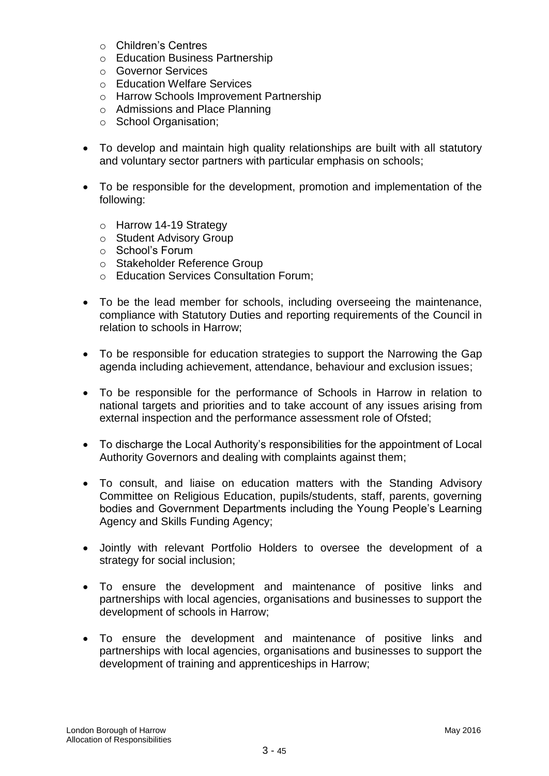- o Children"s Centres
- o Education Business Partnership
- o Governor Services
- o Education Welfare Services
- o Harrow Schools Improvement Partnership
- o Admissions and Place Planning
- o School Organisation;
- To develop and maintain high quality relationships are built with all statutory and voluntary sector partners with particular emphasis on schools;
- To be responsible for the development, promotion and implementation of the following:
	- o Harrow 14-19 Strategy
	- o Student Advisory Group
	- o School"s Forum
	- o Stakeholder Reference Group
	- o Education Services Consultation Forum;
- To be the lead member for schools, including overseeing the maintenance, compliance with Statutory Duties and reporting requirements of the Council in relation to schools in Harrow;
- To be responsible for education strategies to support the Narrowing the Gap agenda including achievement, attendance, behaviour and exclusion issues;
- To be responsible for the performance of Schools in Harrow in relation to national targets and priorities and to take account of any issues arising from external inspection and the performance assessment role of Ofsted;
- To discharge the Local Authority"s responsibilities for the appointment of Local Authority Governors and dealing with complaints against them;
- To consult, and liaise on education matters with the Standing Advisory Committee on Religious Education, pupils/students, staff, parents, governing bodies and Government Departments including the Young People"s Learning Agency and Skills Funding Agency;
- Jointly with relevant Portfolio Holders to oversee the development of a strategy for social inclusion;
- To ensure the development and maintenance of positive links and partnerships with local agencies, organisations and businesses to support the development of schools in Harrow;
- To ensure the development and maintenance of positive links and partnerships with local agencies, organisations and businesses to support the development of training and apprenticeships in Harrow;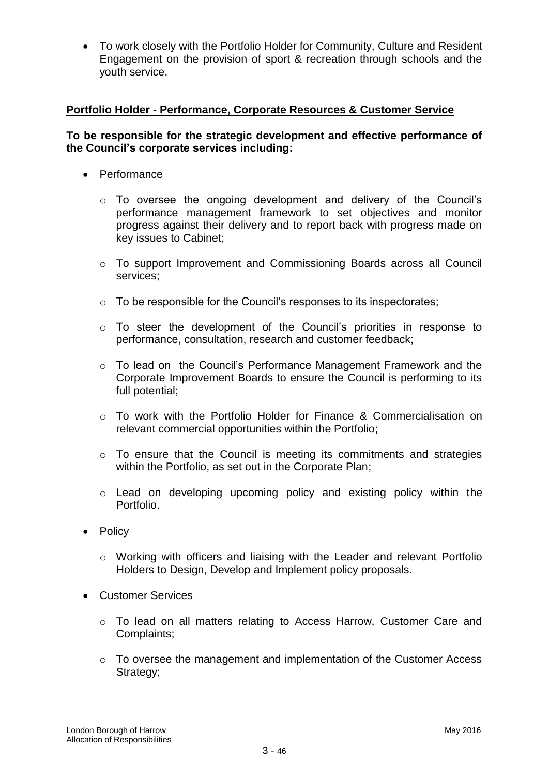To work closely with the Portfolio Holder for Community, Culture and Resident Engagement on the provision of sport & recreation through schools and the youth service.

# **Portfolio Holder - Performance, Corporate Resources & Customer Service**

### **To be responsible for the strategic development and effective performance of the Council"s corporate services including:**

- Performance
	- o To oversee the ongoing development and delivery of the Council"s performance management framework to set objectives and monitor progress against their delivery and to report back with progress made on key issues to Cabinet;
	- o To support Improvement and Commissioning Boards across all Council services;
	- o To be responsible for the Council"s responses to its inspectorates;
	- o To steer the development of the Council"s priorities in response to performance, consultation, research and customer feedback;
	- o To lead on the Council"s Performance Management Framework and the Corporate Improvement Boards to ensure the Council is performing to its full potential;
	- o To work with the Portfolio Holder for Finance & Commercialisation on relevant commercial opportunities within the Portfolio;
	- o To ensure that the Council is meeting its commitments and strategies within the Portfolio, as set out in the Corporate Plan;
	- o Lead on developing upcoming policy and existing policy within the Portfolio.
- Policy
	- o Working with officers and liaising with the Leader and relevant Portfolio Holders to Design, Develop and Implement policy proposals.
- Customer Services
	- o To lead on all matters relating to Access Harrow, Customer Care and Complaints;
	- o To oversee the management and implementation of the Customer Access Strategy;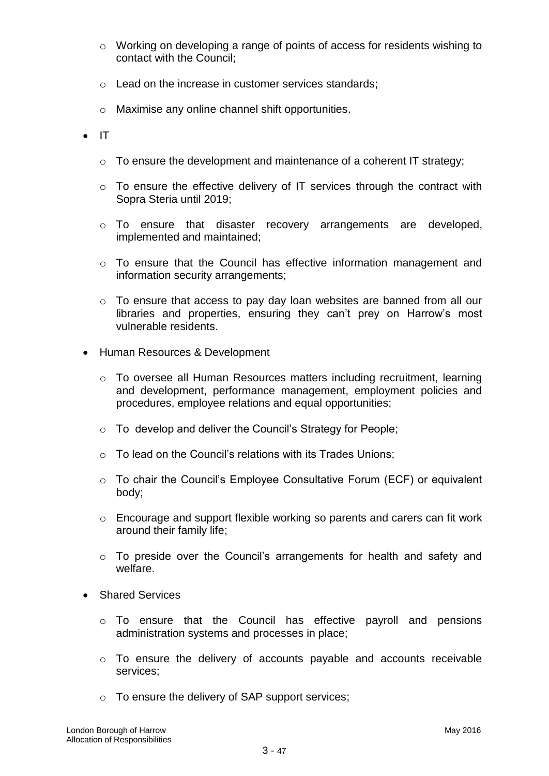- o Working on developing a range of points of access for residents wishing to contact with the Council;
- o Lead on the increase in customer services standards;
- o Maximise any online channel shift opportunities.
- $\bullet$  IT
	- o To ensure the development and maintenance of a coherent IT strategy;
	- o To ensure the effective delivery of IT services through the contract with Sopra Steria until 2019;
	- $\circ$  To ensure that disaster recovery arrangements are developed, implemented and maintained;
	- o To ensure that the Council has effective information management and information security arrangements;
	- o To ensure that access to pay day loan websites are banned from all our libraries and properties, ensuring they can't prey on Harrow's most vulnerable residents.
- Human Resources & Development
	- o To oversee all Human Resources matters including recruitment, learning and development, performance management, employment policies and procedures, employee relations and equal opportunities;
	- o To develop and deliver the Council"s Strategy for People;
	- $\circ$  To lead on the Council's relations with its Trades Unions:
	- o To chair the Council"s Employee Consultative Forum (ECF) or equivalent body;
	- o Encourage and support flexible working so parents and carers can fit work around their family life;
	- o To preside over the Council"s arrangements for health and safety and welfare.
- Shared Services
	- o To ensure that the Council has effective payroll and pensions administration systems and processes in place;
	- o To ensure the delivery of accounts payable and accounts receivable services;
	- o To ensure the delivery of SAP support services;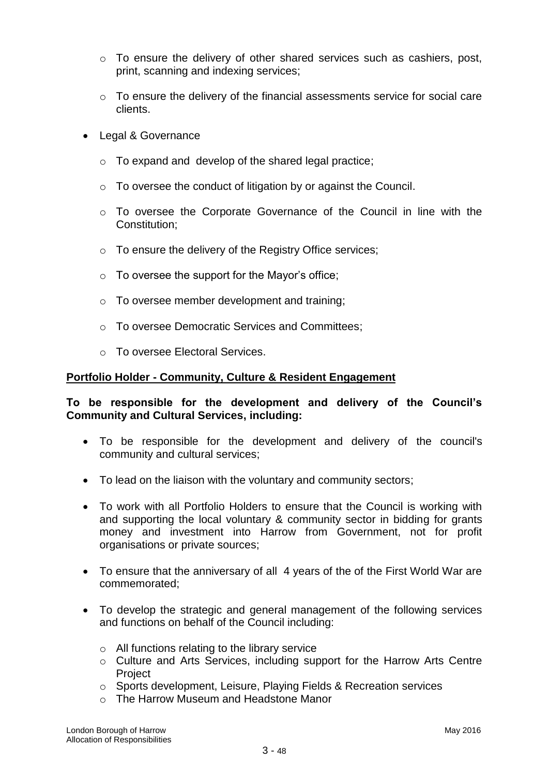- o To ensure the delivery of other shared services such as cashiers, post, print, scanning and indexing services;
- o To ensure the delivery of the financial assessments service for social care clients.
- Legal & Governance
	- o To expand and develop of the shared legal practice;
	- o To oversee the conduct of litigation by or against the Council.
	- $\circ$  To oversee the Corporate Governance of the Council in line with the Constitution;
	- o To ensure the delivery of the Registry Office services;
	- $\circ$  To oversee the support for the Mayor's office;
	- o To oversee member development and training;
	- o To oversee Democratic Services and Committees;
	- o To oversee Electoral Services.

#### **Portfolio Holder - Community, Culture & Resident Engagement**

#### **To be responsible for the development and delivery of the Council"s Community and Cultural Services, including:**

- To be responsible for the development and delivery of the council's community and cultural services;
- To lead on the liaison with the voluntary and community sectors;
- To work with all Portfolio Holders to ensure that the Council is working with and supporting the local voluntary & community sector in bidding for grants money and investment into Harrow from Government, not for profit organisations or private sources;
- To ensure that the anniversary of all 4 years of the of the First World War are commemorated;
- To develop the strategic and general management of the following services and functions on behalf of the Council including:
	- o All functions relating to the library service
	- o Culture and Arts Services, including support for the Harrow Arts Centre **Project**
	- o Sports development, Leisure, Playing Fields & Recreation services
	- o The Harrow Museum and Headstone Manor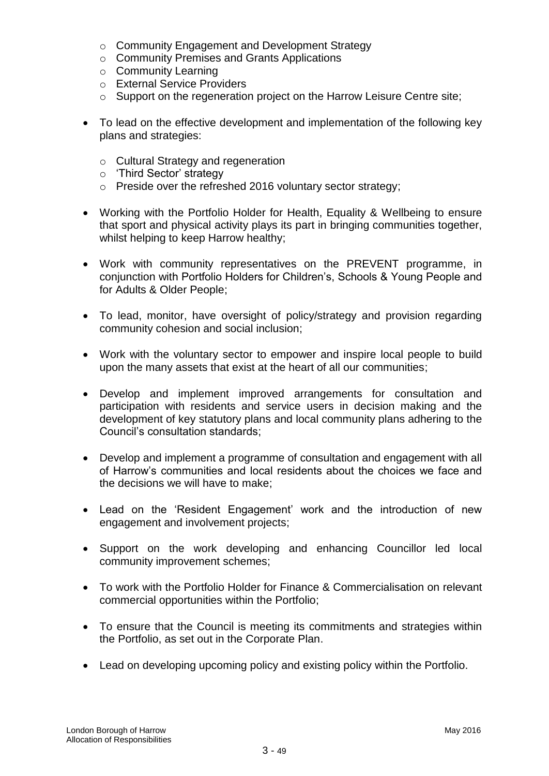- o Community Engagement and Development Strategy
- o Community Premises and Grants Applications
- o Community Learning
- o External Service Providers
- o Support on the regeneration project on the Harrow Leisure Centre site;
- To lead on the effective development and implementation of the following key plans and strategies:
	- o Cultural Strategy and regeneration
	- o "Third Sector" strategy
	- o Preside over the refreshed 2016 voluntary sector strategy;
- Working with the Portfolio Holder for Health, Equality & Wellbeing to ensure that sport and physical activity plays its part in bringing communities together, whilst helping to keep Harrow healthy:
- Work with community representatives on the PREVENT programme, in conjunction with Portfolio Holders for Children"s, Schools & Young People and for Adults & Older People;
- To lead, monitor, have oversight of policy/strategy and provision regarding community cohesion and social inclusion;
- Work with the voluntary sector to empower and inspire local people to build upon the many assets that exist at the heart of all our communities;
- Develop and implement improved arrangements for consultation and participation with residents and service users in decision making and the development of key statutory plans and local community plans adhering to the Council"s consultation standards;
- Develop and implement a programme of consultation and engagement with all of Harrow"s communities and local residents about the choices we face and the decisions we will have to make;
- Lead on the 'Resident Engagement' work and the introduction of new engagement and involvement projects;
- Support on the work developing and enhancing Councillor led local community improvement schemes;
- To work with the Portfolio Holder for Finance & Commercialisation on relevant commercial opportunities within the Portfolio;
- To ensure that the Council is meeting its commitments and strategies within the Portfolio, as set out in the Corporate Plan.
- Lead on developing upcoming policy and existing policy within the Portfolio.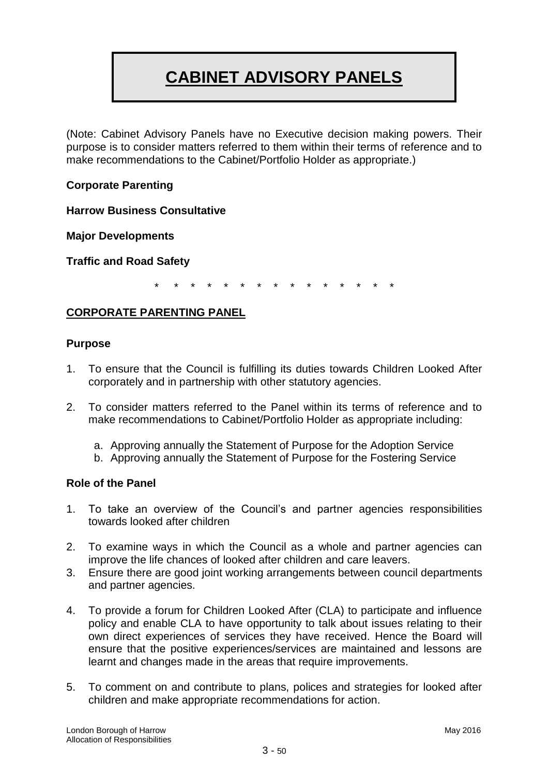# **CABINET ADVISORY PANELS**

(Note: Cabinet Advisory Panels have no Executive decision making powers. Their purpose is to consider matters referred to them within their terms of reference and to make recommendations to the Cabinet/Portfolio Holder as appropriate.)

# **Corporate Parenting**

**Harrow Business Consultative** 

**Major Developments**

**Traffic and Road Safety**

\* \* \* \* \* \* \* \* \* \* \* \* \* \* \*

#### **CORPORATE PARENTING PANEL**

#### **Purpose**

- 1. To ensure that the Council is fulfilling its duties towards Children Looked After corporately and in partnership with other statutory agencies.
- 2. To consider matters referred to the Panel within its terms of reference and to make recommendations to Cabinet/Portfolio Holder as appropriate including:
	- a. Approving annually the Statement of Purpose for the Adoption Service
	- b. Approving annually the Statement of Purpose for the Fostering Service

#### **Role of the Panel**

- 1. To take an overview of the Council"s and partner agencies responsibilities towards looked after children
- 2. To examine ways in which the Council as a whole and partner agencies can improve the life chances of looked after children and care leavers.
- 3. Ensure there are good joint working arrangements between council departments and partner agencies.
- 4. To provide a forum for Children Looked After (CLA) to participate and influence policy and enable CLA to have opportunity to talk about issues relating to their own direct experiences of services they have received. Hence the Board will ensure that the positive experiences/services are maintained and lessons are learnt and changes made in the areas that require improvements.
- 5. To comment on and contribute to plans, polices and strategies for looked after children and make appropriate recommendations for action.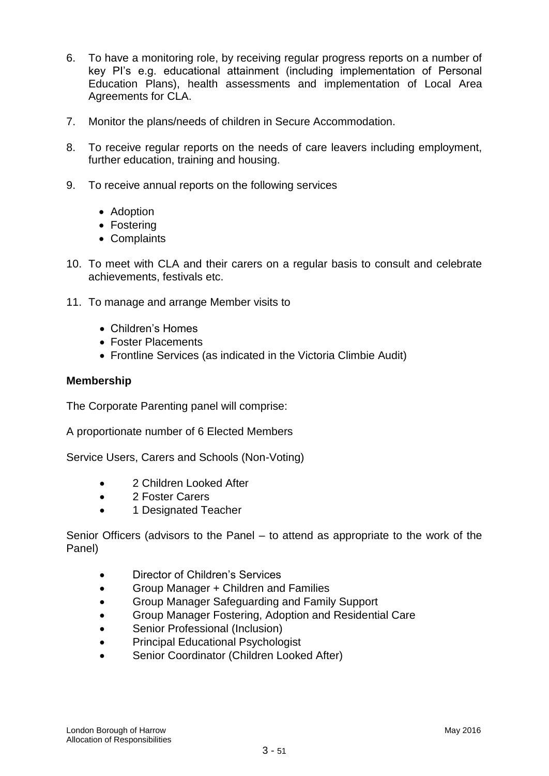- 6. To have a monitoring role, by receiving regular progress reports on a number of key PI"s e.g. educational attainment (including implementation of Personal Education Plans), health assessments and implementation of Local Area Agreements for CLA.
- 7. Monitor the plans/needs of children in Secure Accommodation.
- 8. To receive regular reports on the needs of care leavers including employment, further education, training and housing.
- 9. To receive annual reports on the following services
	- Adoption
	- Fostering
	- Complaints
- 10. To meet with CLA and their carers on a regular basis to consult and celebrate achievements, festivals etc.
- 11. To manage and arrange Member visits to
	- Children's Homes
	- Foster Placements
	- Frontline Services (as indicated in the Victoria Climbie Audit)

#### **Membership**

The Corporate Parenting panel will comprise:

A proportionate number of 6 Elected Members

Service Users, Carers and Schools (Non-Voting)

- 2 Children Looked After
- 2 Foster Carers
- 1 Designated Teacher

Senior Officers (advisors to the Panel – to attend as appropriate to the work of the Panel)

- Director of Children"s Services
- Group Manager + Children and Families
- Group Manager Safeguarding and Family Support
- Group Manager Fostering, Adoption and Residential Care
- Senior Professional (Inclusion)
- Principal Educational Psychologist
- Senior Coordinator (Children Looked After)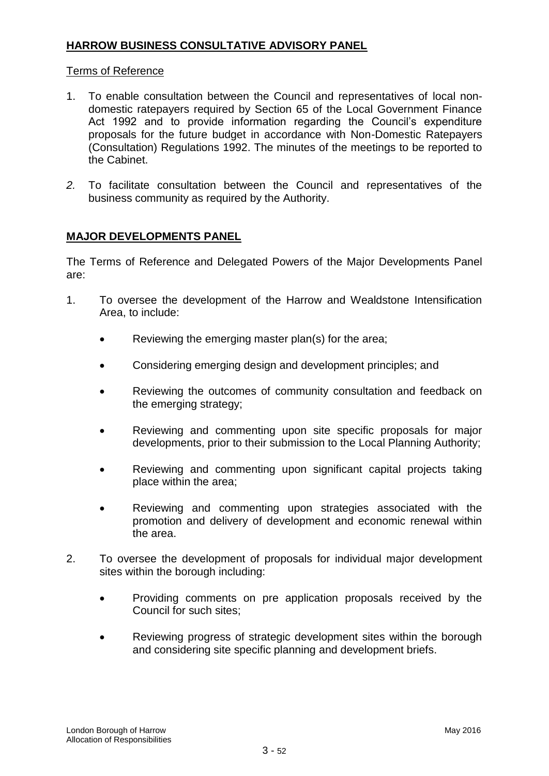# **HARROW BUSINESS CONSULTATIVE ADVISORY PANEL**

### Terms of Reference

- 1. To enable consultation between the Council and representatives of local nondomestic ratepayers required by Section 65 of the Local Government Finance Act 1992 and to provide information regarding the Council's expenditure proposals for the future budget in accordance with Non-Domestic Ratepayers (Consultation) Regulations 1992. The minutes of the meetings to be reported to the Cabinet.
- *2.* To facilitate consultation between the Council and representatives of the business community as required by the Authority.

# **MAJOR DEVELOPMENTS PANEL**

The Terms of Reference and Delegated Powers of the Major Developments Panel are:

- 1. To oversee the development of the Harrow and Wealdstone Intensification Area, to include:
	- Reviewing the emerging master plan(s) for the area;
	- Considering emerging design and development principles; and
	- Reviewing the outcomes of community consultation and feedback on the emerging strategy;
	- Reviewing and commenting upon site specific proposals for major developments, prior to their submission to the Local Planning Authority;
	- Reviewing and commenting upon significant capital projects taking place within the area;
	- Reviewing and commenting upon strategies associated with the promotion and delivery of development and economic renewal within the area.
- 2. To oversee the development of proposals for individual major development sites within the borough including:
	- Providing comments on pre application proposals received by the Council for such sites;
	- Reviewing progress of strategic development sites within the borough and considering site specific planning and development briefs.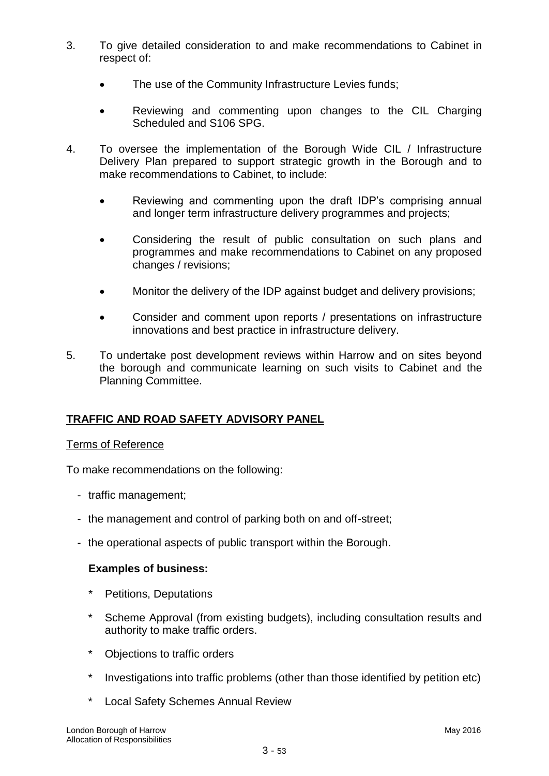- 3. To give detailed consideration to and make recommendations to Cabinet in respect of:
	- The use of the Community Infrastructure Levies funds;
	- Reviewing and commenting upon changes to the CIL Charging Scheduled and S106 SPG.
- 4. To oversee the implementation of the Borough Wide CIL / Infrastructure Delivery Plan prepared to support strategic growth in the Borough and to make recommendations to Cabinet, to include:
	- Reviewing and commenting upon the draft IDP"s comprising annual and longer term infrastructure delivery programmes and projects;
	- Considering the result of public consultation on such plans and programmes and make recommendations to Cabinet on any proposed changes / revisions;
	- Monitor the delivery of the IDP against budget and delivery provisions;
	- Consider and comment upon reports / presentations on infrastructure innovations and best practice in infrastructure delivery.
- 5. To undertake post development reviews within Harrow and on sites beyond the borough and communicate learning on such visits to Cabinet and the Planning Committee.

#### **TRAFFIC AND ROAD SAFETY ADVISORY PANEL**

#### Terms of Reference

To make recommendations on the following:

- traffic management;
- the management and control of parking both on and off-street;
- the operational aspects of public transport within the Borough.

#### **Examples of business:**

- Petitions, Deputations
- Scheme Approval (from existing budgets), including consultation results and authority to make traffic orders.
- Objections to traffic orders
- Investigations into traffic problems (other than those identified by petition etc)
- Local Safety Schemes Annual Review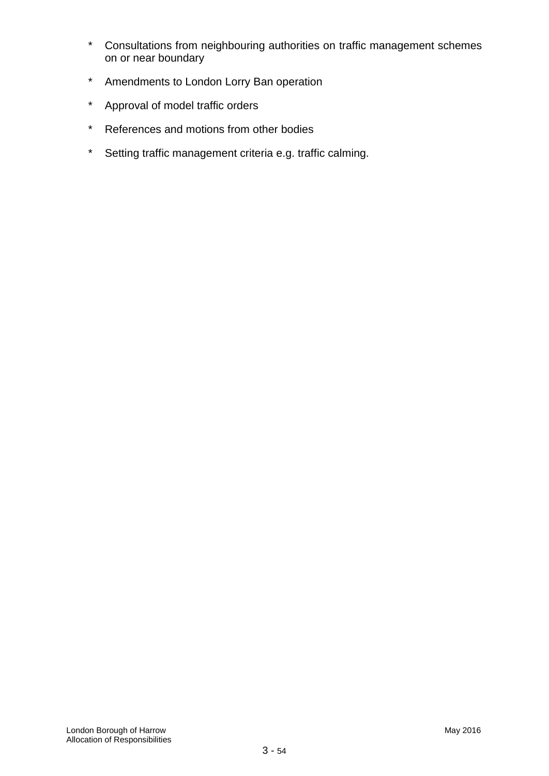- \* Consultations from neighbouring authorities on traffic management schemes on or near boundary
- \* Amendments to London Lorry Ban operation
- \* Approval of model traffic orders
- \* References and motions from other bodies
- \* Setting traffic management criteria e.g. traffic calming.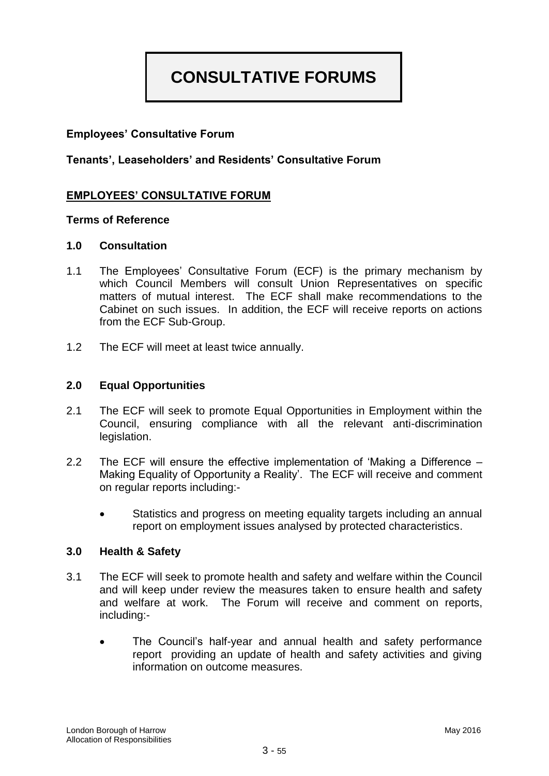# **CONSULTATIVE FORUMS**

# **Employees" Consultative Forum**

**Tenants", Leaseholders" and Residents" Consultative Forum**

# **EMPLOYEES" CONSULTATIVE FORUM**

#### **Terms of Reference**

#### **1.0 Consultation**

- 1.1 The Employees" Consultative Forum (ECF) is the primary mechanism by which Council Members will consult Union Representatives on specific matters of mutual interest. The ECF shall make recommendations to the Cabinet on such issues. In addition, the ECF will receive reports on actions from the ECF Sub-Group.
- 1.2 The ECF will meet at least twice annually.

#### **2.0 Equal Opportunities**

- 2.1 The ECF will seek to promote Equal Opportunities in Employment within the Council, ensuring compliance with all the relevant anti-discrimination legislation.
- 2.2 The ECF will ensure the effective implementation of "Making a Difference Making Equality of Opportunity a Reality". The ECF will receive and comment on regular reports including:-
	- Statistics and progress on meeting equality targets including an annual report on employment issues analysed by protected characteristics.

#### **3.0 Health & Safety**

- 3.1 The ECF will seek to promote health and safety and welfare within the Council and will keep under review the measures taken to ensure health and safety and welfare at work. The Forum will receive and comment on reports, including:-
	- The Council"s half-year and annual health and safety performance report providing an update of health and safety activities and giving information on outcome measures.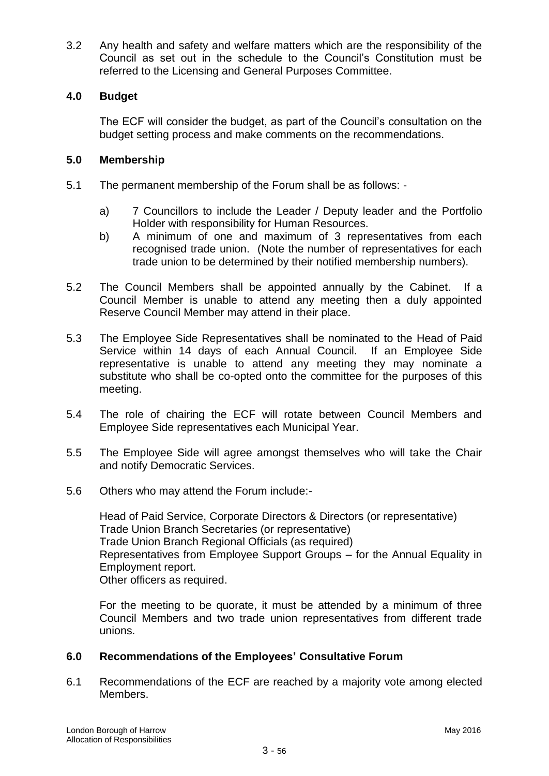3.2 Any health and safety and welfare matters which are the responsibility of the Council as set out in the schedule to the Council"s Constitution must be referred to the Licensing and General Purposes Committee.

# **4.0 Budget**

The ECF will consider the budget, as part of the Council"s consultation on the budget setting process and make comments on the recommendations.

#### **5.0 Membership**

- 5.1 The permanent membership of the Forum shall be as follows:
	- a) 7 Councillors to include the Leader / Deputy leader and the Portfolio Holder with responsibility for Human Resources.
	- b) A minimum of one and maximum of 3 representatives from each recognised trade union. (Note the number of representatives for each trade union to be determined by their notified membership numbers).
- 5.2 The Council Members shall be appointed annually by the Cabinet. If a Council Member is unable to attend any meeting then a duly appointed Reserve Council Member may attend in their place.
- 5.3 The Employee Side Representatives shall be nominated to the Head of Paid Service within 14 days of each Annual Council. If an Employee Side representative is unable to attend any meeting they may nominate a substitute who shall be co-opted onto the committee for the purposes of this meeting.
- 5.4 The role of chairing the ECF will rotate between Council Members and Employee Side representatives each Municipal Year.
- 5.5 The Employee Side will agree amongst themselves who will take the Chair and notify Democratic Services.
- 5.6 Others who may attend the Forum include:-

Head of Paid Service, Corporate Directors & Directors (or representative) Trade Union Branch Secretaries (or representative) Trade Union Branch Regional Officials (as required) Representatives from Employee Support Groups – for the Annual Equality in Employment report. Other officers as required.

For the meeting to be quorate, it must be attended by a minimum of three Council Members and two trade union representatives from different trade unions.

#### **6.0 Recommendations of the Employees" Consultative Forum**

6.1 Recommendations of the ECF are reached by a majority vote among elected Members.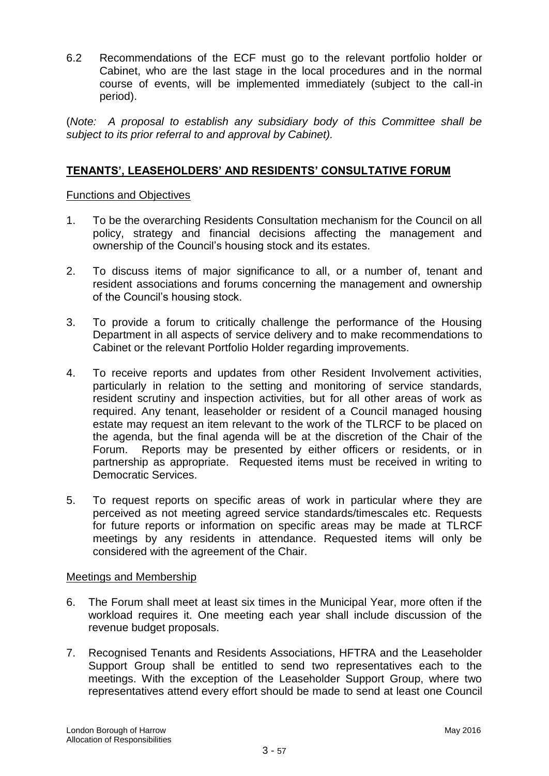6.2 Recommendations of the ECF must go to the relevant portfolio holder or Cabinet, who are the last stage in the local procedures and in the normal course of events, will be implemented immediately (subject to the call-in period).

(*Note: A proposal to establish any subsidiary body of this Committee shall be subject to its prior referral to and approval by Cabinet).*

# **TENANTS", LEASEHOLDERS" AND RESIDENTS" CONSULTATIVE FORUM**

#### Functions and Objectives

- 1. To be the overarching Residents Consultation mechanism for the Council on all policy, strategy and financial decisions affecting the management and ownership of the Council"s housing stock and its estates.
- 2. To discuss items of major significance to all, or a number of, tenant and resident associations and forums concerning the management and ownership of the Council"s housing stock.
- 3. To provide a forum to critically challenge the performance of the Housing Department in all aspects of service delivery and to make recommendations to Cabinet or the relevant Portfolio Holder regarding improvements.
- 4. To receive reports and updates from other Resident Involvement activities, particularly in relation to the setting and monitoring of service standards, resident scrutiny and inspection activities, but for all other areas of work as required. Any tenant, leaseholder or resident of a Council managed housing estate may request an item relevant to the work of the TLRCF to be placed on the agenda, but the final agenda will be at the discretion of the Chair of the Forum. Reports may be presented by either officers or residents, or in partnership as appropriate. Requested items must be received in writing to Democratic Services.
- 5. To request reports on specific areas of work in particular where they are perceived as not meeting agreed service standards/timescales etc. Requests for future reports or information on specific areas may be made at TLRCF meetings by any residents in attendance. Requested items will only be considered with the agreement of the Chair.

#### Meetings and Membership

- 6. The Forum shall meet at least six times in the Municipal Year, more often if the workload requires it. One meeting each year shall include discussion of the revenue budget proposals.
- 7. Recognised Tenants and Residents Associations, HFTRA and the Leaseholder Support Group shall be entitled to send two representatives each to the meetings. With the exception of the Leaseholder Support Group, where two representatives attend every effort should be made to send at least one Council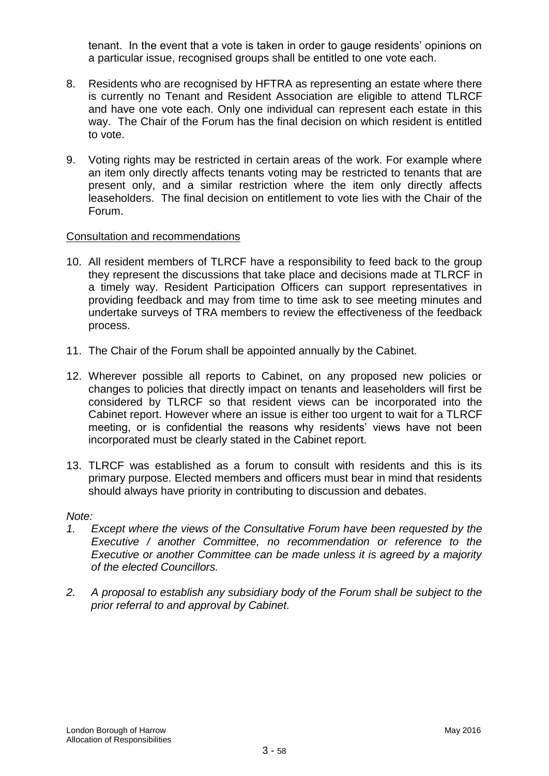tenant. In the event that a vote is taken in order to gauge residents" opinions on a particular issue, recognised groups shall be entitled to one vote each.

- 8. Residents who are recognised by HFTRA as representing an estate where there is currently no Tenant and Resident Association are eligible to attend TLRCF and have one vote each. Only one individual can represent each estate in this way. The Chair of the Forum has the final decision on which resident is entitled to vote.
- 9. Voting rights may be restricted in certain areas of the work. For example where an item only directly affects tenants voting may be restricted to tenants that are present only, and a similar restriction where the item only directly affects leaseholders. The final decision on entitlement to vote lies with the Chair of the Forum.

#### Consultation and recommendations

- 10. All resident members of TLRCF have a responsibility to feed back to the group they represent the discussions that take place and decisions made at TLRCF in a timely way. Resident Participation Officers can support representatives in providing feedback and may from time to time ask to see meeting minutes and undertake surveys of TRA members to review the effectiveness of the feedback process.
- 11. The Chair of the Forum shall be appointed annually by the Cabinet.
- 12. Wherever possible all reports to Cabinet, on any proposed new policies or changes to policies that directly impact on tenants and leaseholders will first be considered by TLRCF so that resident views can be incorporated into the Cabinet report. However where an issue is either too urgent to wait for a TLRCF meeting, or is confidential the reasons why residents' views have not been incorporated must be clearly stated in the Cabinet report.
- 13. TLRCF was established as a forum to consult with residents and this is its primary purpose. Elected members and officers must bear in mind that residents should always have priority in contributing to discussion and debates.

#### *Note:*

- *1. Except where the views of the Consultative Forum have been requested by the Executive / another Committee, no recommendation or reference to the Executive or another Committee can be made unless it is agreed by a majority of the elected Councillors.*
- *2. A proposal to establish any subsidiary body of the Forum shall be subject to the prior referral to and approval by Cabinet.*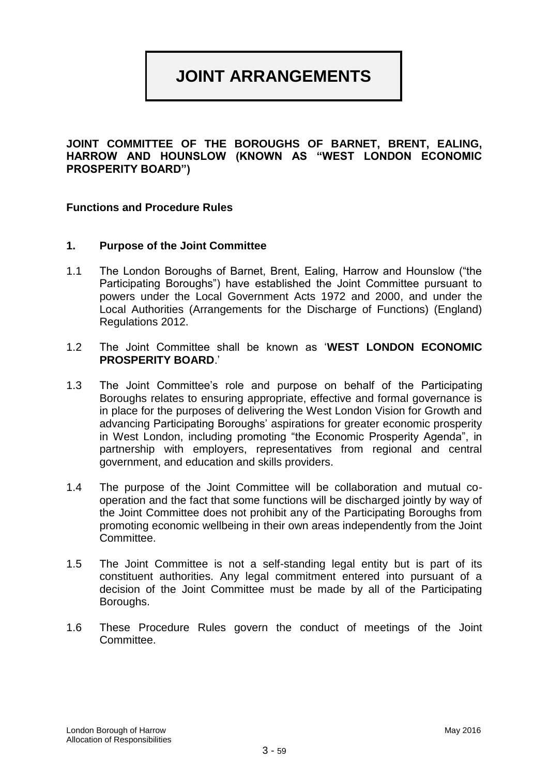# **JOINT ARRANGEMENTS**

#### **JOINT COMMITTEE OF THE BOROUGHS OF BARNET, BRENT, EALING, HARROW AND HOUNSLOW (KNOWN AS "WEST LONDON ECONOMIC PROSPERITY BOARD")**

#### **Functions and Procedure Rules**

#### **1. Purpose of the Joint Committee**

- 1.1 The London Boroughs of Barnet, Brent, Ealing, Harrow and Hounslow ("the Participating Boroughs") have established the Joint Committee pursuant to powers under the Local Government Acts 1972 and 2000, and under the Local Authorities (Arrangements for the Discharge of Functions) (England) Regulations 2012.
- 1.2 The Joint Committee shall be known as "**WEST LONDON ECONOMIC PROSPERITY BOARD**."
- 1.3 The Joint Committee"s role and purpose on behalf of the Participating Boroughs relates to ensuring appropriate, effective and formal governance is in place for the purposes of delivering the West London Vision for Growth and advancing Participating Boroughs' aspirations for greater economic prosperity in West London, including promoting "the Economic Prosperity Agenda", in partnership with employers, representatives from regional and central government, and education and skills providers.
- 1.4 The purpose of the Joint Committee will be collaboration and mutual cooperation and the fact that some functions will be discharged jointly by way of the Joint Committee does not prohibit any of the Participating Boroughs from promoting economic wellbeing in their own areas independently from the Joint Committee.
- 1.5 The Joint Committee is not a self-standing legal entity but is part of its constituent authorities. Any legal commitment entered into pursuant of a decision of the Joint Committee must be made by all of the Participating Boroughs.
- 1.6 These Procedure Rules govern the conduct of meetings of the Joint Committee.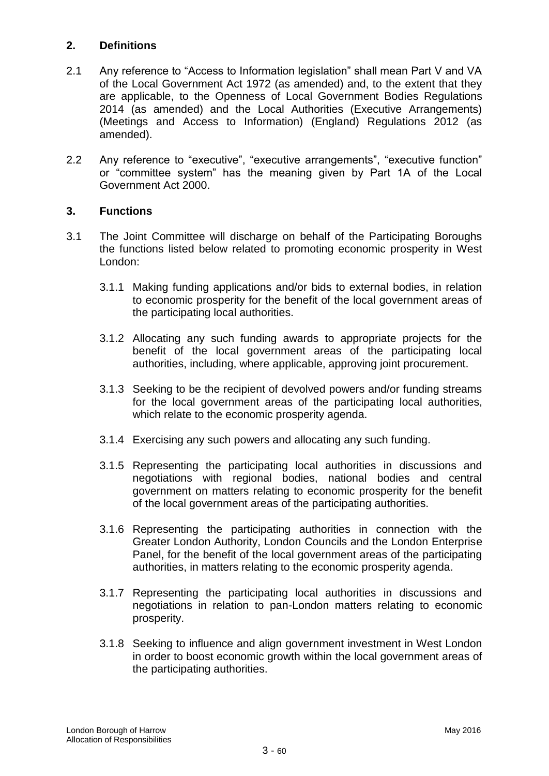# **2. Definitions**

- 2.1 Any reference to "Access to Information legislation" shall mean Part V and VA of the Local Government Act 1972 (as amended) and, to the extent that they are applicable, to the Openness of Local Government Bodies Regulations 2014 (as amended) and the Local Authorities (Executive Arrangements) (Meetings and Access to Information) (England) Regulations 2012 (as amended).
- 2.2 Any reference to "executive", "executive arrangements", "executive function" or "committee system" has the meaning given by Part 1A of the Local Government Act 2000.

# **3. Functions**

- 3.1 The Joint Committee will discharge on behalf of the Participating Boroughs the functions listed below related to promoting economic prosperity in West London:
	- 3.1.1 Making funding applications and/or bids to external bodies, in relation to economic prosperity for the benefit of the local government areas of the participating local authorities.
	- 3.1.2 Allocating any such funding awards to appropriate projects for the benefit of the local government areas of the participating local authorities, including, where applicable, approving joint procurement.
	- 3.1.3 Seeking to be the recipient of devolved powers and/or funding streams for the local government areas of the participating local authorities, which relate to the economic prosperity agenda.
	- 3.1.4 Exercising any such powers and allocating any such funding.
	- 3.1.5 Representing the participating local authorities in discussions and negotiations with regional bodies, national bodies and central government on matters relating to economic prosperity for the benefit of the local government areas of the participating authorities.
	- 3.1.6 Representing the participating authorities in connection with the Greater London Authority, London Councils and the London Enterprise Panel, for the benefit of the local government areas of the participating authorities, in matters relating to the economic prosperity agenda.
	- 3.1.7 Representing the participating local authorities in discussions and negotiations in relation to pan-London matters relating to economic prosperity.
	- 3.1.8 Seeking to influence and align government investment in West London in order to boost economic growth within the local government areas of the participating authorities.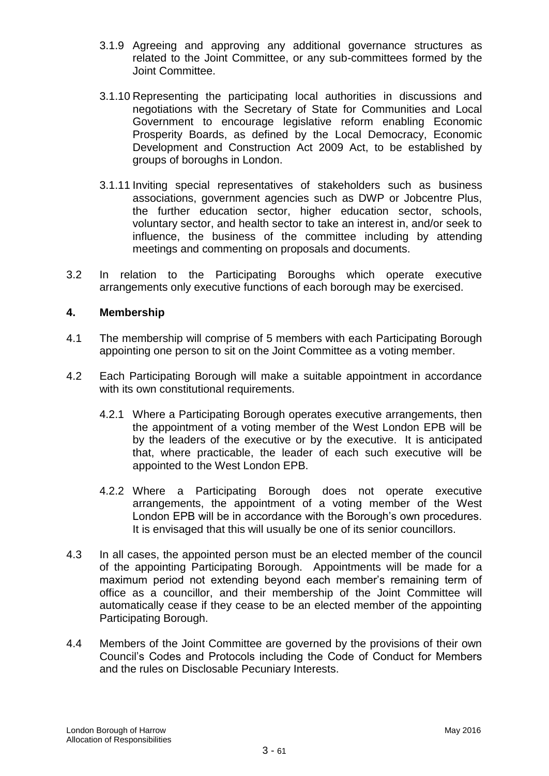- 3.1.9 Agreeing and approving any additional governance structures as related to the Joint Committee, or any sub-committees formed by the Joint Committee.
- 3.1.10 Representing the participating local authorities in discussions and negotiations with the Secretary of State for Communities and Local Government to encourage legislative reform enabling Economic Prosperity Boards, as defined by the Local Democracy, Economic Development and Construction Act 2009 Act, to be established by groups of boroughs in London.
- 3.1.11 Inviting special representatives of stakeholders such as business associations, government agencies such as DWP or Jobcentre Plus, the further education sector, higher education sector, schools, voluntary sector, and health sector to take an interest in, and/or seek to influence, the business of the committee including by attending meetings and commenting on proposals and documents.
- 3.2 In relation to the Participating Boroughs which operate executive arrangements only executive functions of each borough may be exercised.

#### **4. Membership**

- 4.1 The membership will comprise of 5 members with each Participating Borough appointing one person to sit on the Joint Committee as a voting member.
- 4.2 Each Participating Borough will make a suitable appointment in accordance with its own constitutional requirements.
	- 4.2.1 Where a Participating Borough operates executive arrangements, then the appointment of a voting member of the West London EPB will be by the leaders of the executive or by the executive. It is anticipated that, where practicable, the leader of each such executive will be appointed to the West London EPB.
	- 4.2.2 Where a Participating Borough does not operate executive arrangements, the appointment of a voting member of the West London EPB will be in accordance with the Borough"s own procedures. It is envisaged that this will usually be one of its senior councillors.
- 4.3 In all cases, the appointed person must be an elected member of the council of the appointing Participating Borough. Appointments will be made for a maximum period not extending beyond each member's remaining term of office as a councillor, and their membership of the Joint Committee will automatically cease if they cease to be an elected member of the appointing Participating Borough.
- 4.4 Members of the Joint Committee are governed by the provisions of their own Council"s Codes and Protocols including the Code of Conduct for Members and the rules on Disclosable Pecuniary Interests.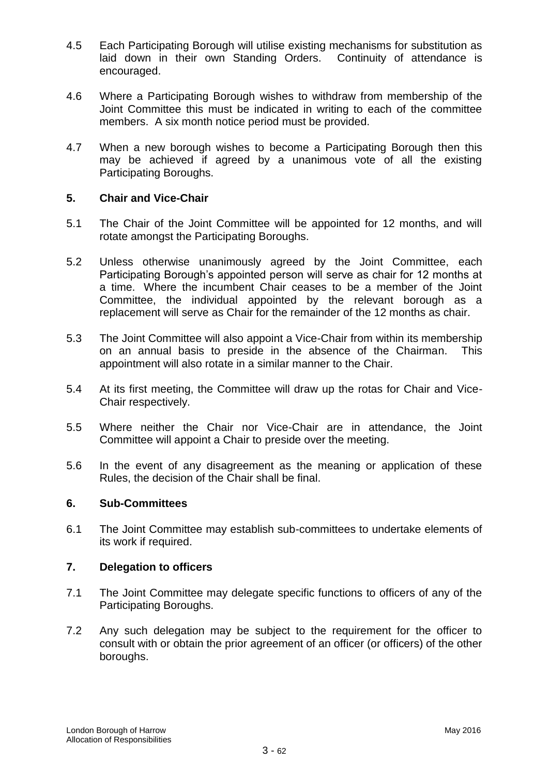- 4.5 Each Participating Borough will utilise existing mechanisms for substitution as laid down in their own Standing Orders. Continuity of attendance is encouraged.
- 4.6 Where a Participating Borough wishes to withdraw from membership of the Joint Committee this must be indicated in writing to each of the committee members. A six month notice period must be provided.
- 4.7 When a new borough wishes to become a Participating Borough then this may be achieved if agreed by a unanimous vote of all the existing Participating Boroughs.

#### **5. Chair and Vice-Chair**

- 5.1 The Chair of the Joint Committee will be appointed for 12 months, and will rotate amongst the Participating Boroughs.
- 5.2 Unless otherwise unanimously agreed by the Joint Committee, each Participating Borough's appointed person will serve as chair for 12 months at a time. Where the incumbent Chair ceases to be a member of the Joint Committee, the individual appointed by the relevant borough as a replacement will serve as Chair for the remainder of the 12 months as chair.
- 5.3 The Joint Committee will also appoint a Vice-Chair from within its membership on an annual basis to preside in the absence of the Chairman. This appointment will also rotate in a similar manner to the Chair.
- 5.4 At its first meeting, the Committee will draw up the rotas for Chair and Vice-Chair respectively.
- 5.5 Where neither the Chair nor Vice-Chair are in attendance, the Joint Committee will appoint a Chair to preside over the meeting.
- 5.6 In the event of any disagreement as the meaning or application of these Rules, the decision of the Chair shall be final.

#### **6. Sub-Committees**

6.1 The Joint Committee may establish sub-committees to undertake elements of its work if required.

#### **7. Delegation to officers**

- 7.1 The Joint Committee may delegate specific functions to officers of any of the Participating Boroughs.
- 7.2 Any such delegation may be subject to the requirement for the officer to consult with or obtain the prior agreement of an officer (or officers) of the other boroughs.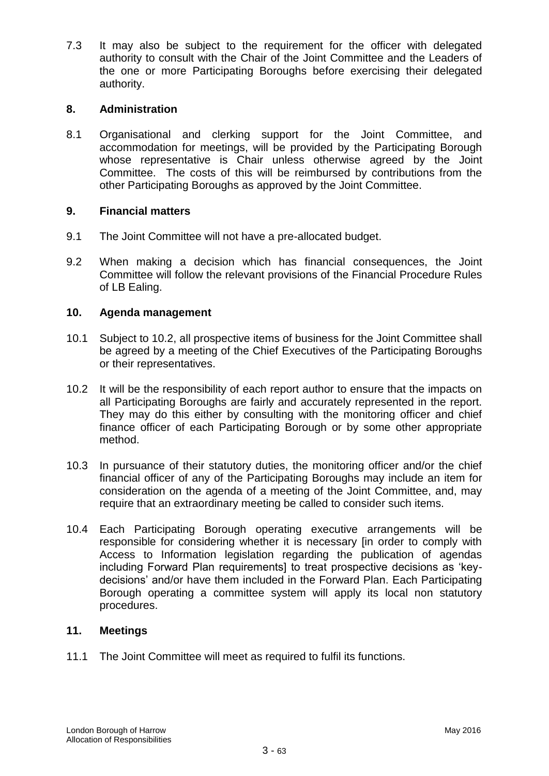7.3 It may also be subject to the requirement for the officer with delegated authority to consult with the Chair of the Joint Committee and the Leaders of the one or more Participating Boroughs before exercising their delegated authority.

# **8. Administration**

8.1 Organisational and clerking support for the Joint Committee, and accommodation for meetings, will be provided by the Participating Borough whose representative is Chair unless otherwise agreed by the Joint Committee. The costs of this will be reimbursed by contributions from the other Participating Boroughs as approved by the Joint Committee.

#### **9. Financial matters**

- 9.1 The Joint Committee will not have a pre-allocated budget.
- 9.2 When making a decision which has financial consequences, the Joint Committee will follow the relevant provisions of the Financial Procedure Rules of LB Ealing.

#### **10. Agenda management**

- 10.1 Subject to 10.2, all prospective items of business for the Joint Committee shall be agreed by a meeting of the Chief Executives of the Participating Boroughs or their representatives.
- 10.2 It will be the responsibility of each report author to ensure that the impacts on all Participating Boroughs are fairly and accurately represented in the report. They may do this either by consulting with the monitoring officer and chief finance officer of each Participating Borough or by some other appropriate method.
- 10.3 In pursuance of their statutory duties, the monitoring officer and/or the chief financial officer of any of the Participating Boroughs may include an item for consideration on the agenda of a meeting of the Joint Committee, and, may require that an extraordinary meeting be called to consider such items.
- 10.4 Each Participating Borough operating executive arrangements will be responsible for considering whether it is necessary [in order to comply with Access to Information legislation regarding the publication of agendas including Forward Plan requirements] to treat prospective decisions as "keydecisions" and/or have them included in the Forward Plan. Each Participating Borough operating a committee system will apply its local non statutory procedures.

#### **11. Meetings**

11.1 The Joint Committee will meet as required to fulfil its functions.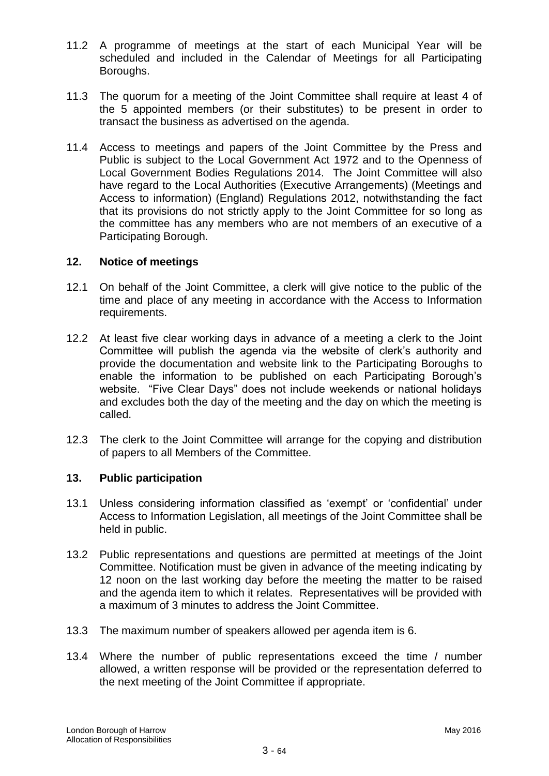- 11.2 A programme of meetings at the start of each Municipal Year will be scheduled and included in the Calendar of Meetings for all Participating Boroughs.
- 11.3 The quorum for a meeting of the Joint Committee shall require at least 4 of the 5 appointed members (or their substitutes) to be present in order to transact the business as advertised on the agenda.
- 11.4 Access to meetings and papers of the Joint Committee by the Press and Public is subject to the Local Government Act 1972 and to the Openness of Local Government Bodies Regulations 2014. The Joint Committee will also have regard to the Local Authorities (Executive Arrangements) (Meetings and Access to information) (England) Regulations 2012, notwithstanding the fact that its provisions do not strictly apply to the Joint Committee for so long as the committee has any members who are not members of an executive of a Participating Borough.

#### **12. Notice of meetings**

- 12.1 On behalf of the Joint Committee, a clerk will give notice to the public of the time and place of any meeting in accordance with the Access to Information requirements.
- 12.2 At least five clear working days in advance of a meeting a clerk to the Joint Committee will publish the agenda via the website of clerk"s authority and provide the documentation and website link to the Participating Boroughs to enable the information to be published on each Participating Borough"s website. "Five Clear Days" does not include weekends or national holidays and excludes both the day of the meeting and the day on which the meeting is called.
- 12.3 The clerk to the Joint Committee will arrange for the copying and distribution of papers to all Members of the Committee.

#### **13. Public participation**

- 13.1 Unless considering information classified as "exempt" or "confidential" under Access to Information Legislation, all meetings of the Joint Committee shall be held in public.
- 13.2 Public representations and questions are permitted at meetings of the Joint Committee. Notification must be given in advance of the meeting indicating by 12 noon on the last working day before the meeting the matter to be raised and the agenda item to which it relates. Representatives will be provided with a maximum of 3 minutes to address the Joint Committee.
- 13.3 The maximum number of speakers allowed per agenda item is 6.
- 13.4 Where the number of public representations exceed the time / number allowed, a written response will be provided or the representation deferred to the next meeting of the Joint Committee if appropriate.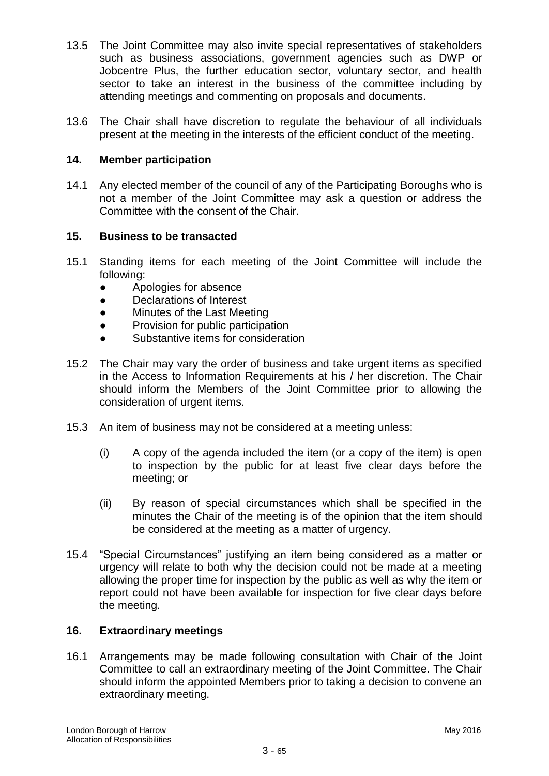- 13.5 The Joint Committee may also invite special representatives of stakeholders such as business associations, government agencies such as DWP or Jobcentre Plus, the further education sector, voluntary sector, and health sector to take an interest in the business of the committee including by attending meetings and commenting on proposals and documents.
- 13.6 The Chair shall have discretion to regulate the behaviour of all individuals present at the meeting in the interests of the efficient conduct of the meeting.

#### **14. Member participation**

14.1 Any elected member of the council of any of the Participating Boroughs who is not a member of the Joint Committee may ask a question or address the Committee with the consent of the Chair.

#### **15. Business to be transacted**

- 15.1 Standing items for each meeting of the Joint Committee will include the following:
	- Apologies for absence
	- Declarations of Interest
	- **Minutes of the Last Meeting**
	- Provision for public participation
	- Substantive items for consideration
- 15.2 The Chair may vary the order of business and take urgent items as specified in the Access to Information Requirements at his / her discretion. The Chair should inform the Members of the Joint Committee prior to allowing the consideration of urgent items.
- 15.3 An item of business may not be considered at a meeting unless:
	- (i) A copy of the agenda included the item (or a copy of the item) is open to inspection by the public for at least five clear days before the meeting; or
	- (ii) By reason of special circumstances which shall be specified in the minutes the Chair of the meeting is of the opinion that the item should be considered at the meeting as a matter of urgency.
- 15.4 "Special Circumstances" justifying an item being considered as a matter or urgency will relate to both why the decision could not be made at a meeting allowing the proper time for inspection by the public as well as why the item or report could not have been available for inspection for five clear days before the meeting.

#### **16. Extraordinary meetings**

16.1 Arrangements may be made following consultation with Chair of the Joint Committee to call an extraordinary meeting of the Joint Committee. The Chair should inform the appointed Members prior to taking a decision to convene an extraordinary meeting.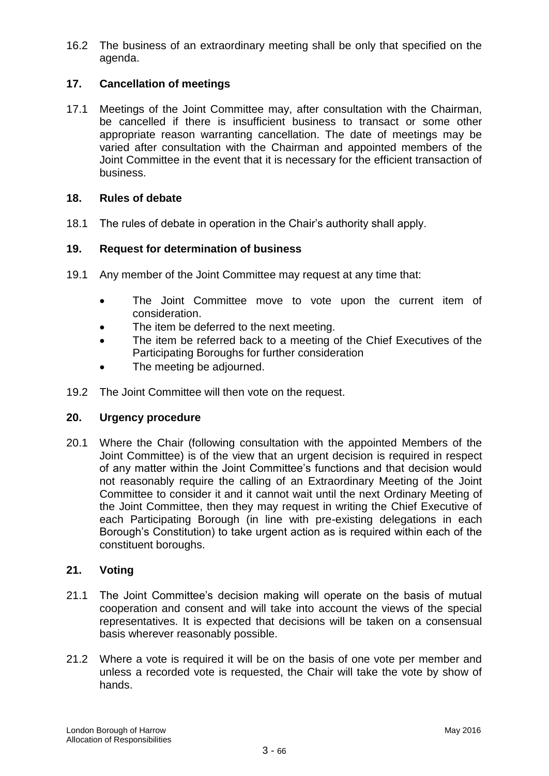16.2 The business of an extraordinary meeting shall be only that specified on the agenda.

# **17. Cancellation of meetings**

17.1 Meetings of the Joint Committee may, after consultation with the Chairman, be cancelled if there is insufficient business to transact or some other appropriate reason warranting cancellation. The date of meetings may be varied after consultation with the Chairman and appointed members of the Joint Committee in the event that it is necessary for the efficient transaction of business.

#### **18. Rules of debate**

18.1 The rules of debate in operation in the Chair"s authority shall apply.

#### **19. Request for determination of business**

- 19.1 Any member of the Joint Committee may request at any time that:
	- The Joint Committee move to vote upon the current item of consideration.
	- The item be deferred to the next meeting.
	- The item be referred back to a meeting of the Chief Executives of the Participating Boroughs for further consideration
	- The meeting be adjourned.
- 19.2 The Joint Committee will then vote on the request.

#### **20. Urgency procedure**

20.1 Where the Chair (following consultation with the appointed Members of the Joint Committee) is of the view that an urgent decision is required in respect of any matter within the Joint Committee"s functions and that decision would not reasonably require the calling of an Extraordinary Meeting of the Joint Committee to consider it and it cannot wait until the next Ordinary Meeting of the Joint Committee, then they may request in writing the Chief Executive of each Participating Borough (in line with pre-existing delegations in each Borough"s Constitution) to take urgent action as is required within each of the constituent boroughs.

#### **21. Voting**

- 21.1 The Joint Committee"s decision making will operate on the basis of mutual cooperation and consent and will take into account the views of the special representatives. It is expected that decisions will be taken on a consensual basis wherever reasonably possible.
- 21.2 Where a vote is required it will be on the basis of one vote per member and unless a recorded vote is requested, the Chair will take the vote by show of hands.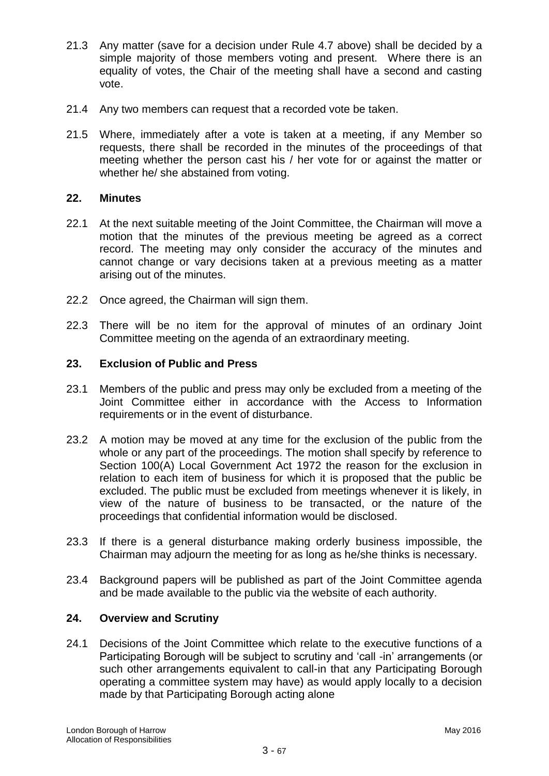- 21.3 Any matter (save for a decision under Rule 4.7 above) shall be decided by a simple majority of those members voting and present. Where there is an equality of votes, the Chair of the meeting shall have a second and casting vote.
- 21.4 Any two members can request that a recorded vote be taken.
- 21.5 Where, immediately after a vote is taken at a meeting, if any Member so requests, there shall be recorded in the minutes of the proceedings of that meeting whether the person cast his / her vote for or against the matter or whether he/ she abstained from voting.

#### **22. Minutes**

- 22.1 At the next suitable meeting of the Joint Committee, the Chairman will move a motion that the minutes of the previous meeting be agreed as a correct record. The meeting may only consider the accuracy of the minutes and cannot change or vary decisions taken at a previous meeting as a matter arising out of the minutes.
- 22.2 Once agreed, the Chairman will sign them.
- 22.3 There will be no item for the approval of minutes of an ordinary Joint Committee meeting on the agenda of an extraordinary meeting.

#### **23. Exclusion of Public and Press**

- 23.1 Members of the public and press may only be excluded from a meeting of the Joint Committee either in accordance with the Access to Information requirements or in the event of disturbance.
- 23.2 A motion may be moved at any time for the exclusion of the public from the whole or any part of the proceedings. The motion shall specify by reference to Section 100(A) Local Government Act 1972 the reason for the exclusion in relation to each item of business for which it is proposed that the public be excluded. The public must be excluded from meetings whenever it is likely, in view of the nature of business to be transacted, or the nature of the proceedings that confidential information would be disclosed.
- 23.3 If there is a general disturbance making orderly business impossible, the Chairman may adjourn the meeting for as long as he/she thinks is necessary.
- 23.4 Background papers will be published as part of the Joint Committee agenda and be made available to the public via the website of each authority.

#### **24. Overview and Scrutiny**

24.1 Decisions of the Joint Committee which relate to the executive functions of a Participating Borough will be subject to scrutiny and 'call -in' arrangements (or such other arrangements equivalent to call-in that any Participating Borough operating a committee system may have) as would apply locally to a decision made by that Participating Borough acting alone